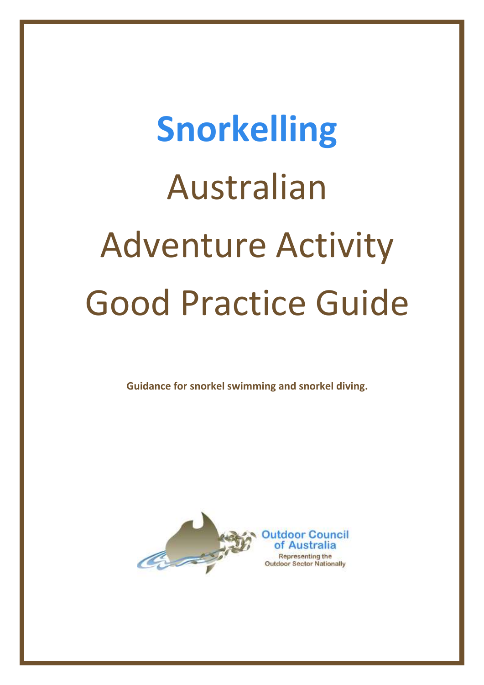# **Snorkelling** Australian Adventure Activity Good Practice Guide

**Guidance for snorkel swimming and snorkel diving.**

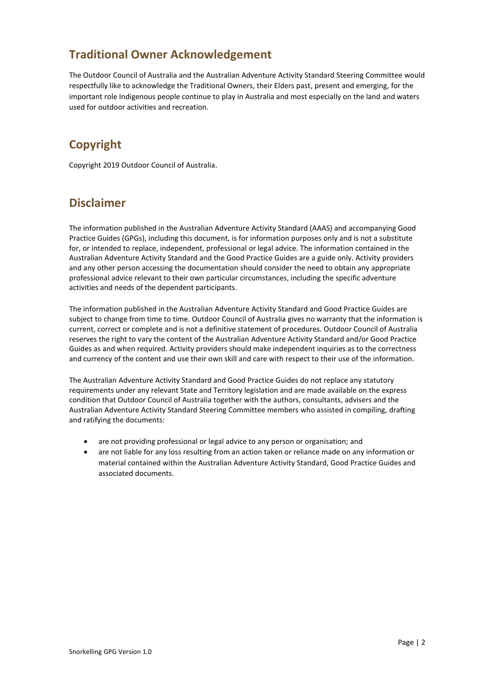# **Traditional Owner Acknowledgement**

The Outdoor Council of Australia and the Australian Adventure Activity Standard Steering Committee would respectfully like to acknowledge the Traditional Owners, their Elders past, present and emerging, for the important role Indigenous people continue to play in Australia and most especially on the land and waters used for outdoor activities and recreation.

# **Copyright**

Copyright 2019 Outdoor Council of Australia.

# **Disclaimer**

The information published in the Australian Adventure Activity Standard (AAAS) and accompanying Good Practice Guides (GPGs), including this document, is for information purposes only and is not a substitute for, or intended to replace, independent, professional or legal advice. The information contained in the Australian Adventure Activity Standard and the Good Practice Guides are a guide only. Activity providers and any other person accessing the documentation should consider the need to obtain any appropriate professional advice relevant to their own particular circumstances, including the specific adventure activities and needs of the dependent participants.

The information published in the Australian Adventure Activity Standard and Good Practice Guides are subject to change from time to time. Outdoor Council of Australia gives no warranty that the information is current, correct or complete and is not a definitive statement of procedures. Outdoor Council of Australia reserves the right to vary the content of the Australian Adventure Activity Standard and/or Good Practice Guides as and when required. Activity providers should make independent inquiries as to the correctness and currency of the content and use their own skill and care with respect to their use of the information.

The Australian Adventure Activity Standard and Good Practice Guides do not replace any statutory requirements under any relevant State and Territory legislation and are made available on the express condition that Outdoor Council of Australia together with the authors, consultants, advisers and the Australian Adventure Activity Standard Steering Committee members who assisted in compiling, drafting and ratifying the documents:

- are not providing professional or legal advice to any person or organisation; and
- are not liable for any loss resulting from an action taken or reliance made on any information or material contained within the Australian Adventure Activity Standard, Good Practice Guides and associated documents.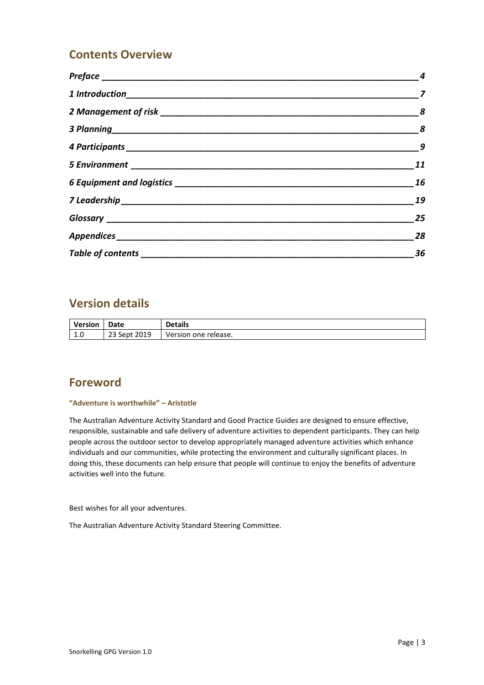# **Contents Overview**

|                              | $\boldsymbol{8}$ |
|------------------------------|------------------|
|                              | $\overline{9}$   |
|                              | 11               |
|                              | 16               |
|                              | 19               |
|                              | 25               |
|                              | 28               |
| Table of contents __________ | 36               |

# **Version details**

| <b>Version</b> | Date         | <b>Details</b>       |
|----------------|--------------|----------------------|
| 1.0            | 23 Sept 2019 | Version one release. |

# **Foreword**

#### **"Adventure is worthwhile" – Aristotle**

The Australian Adventure Activity Standard and Good Practice Guides are designed to ensure effective, responsible, sustainable and safe delivery of adventure activities to dependent participants. They can help people across the outdoor sector to develop appropriately managed adventure activities which enhance individuals and our communities, while protecting the environment and culturally significant places. In doing this, these documents can help ensure that people will continue to enjoy the benefits of adventure activities well into the future.

Best wishes for all your adventures.

The Australian Adventure Activity Standard Steering Committee.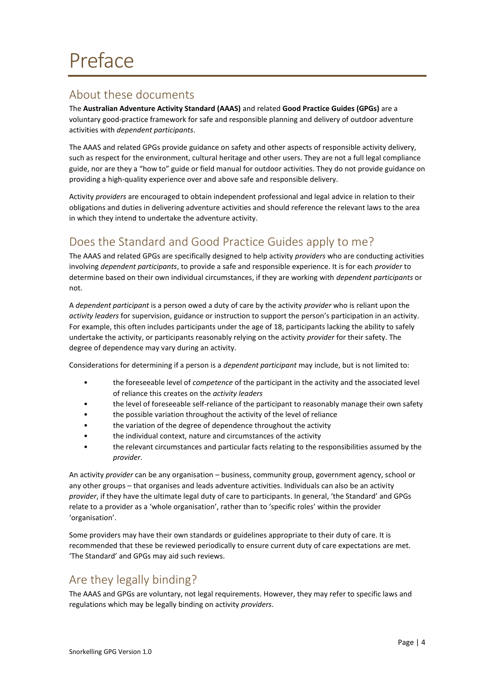# <span id="page-3-1"></span><span id="page-3-0"></span>About these documents

The **Australian Adventure Activity Standard (AAAS)** and related **Good Practice Guides (GPGs)** are a voluntary good-practice framework for safe and responsible planning and delivery of outdoor adventure activities with *dependent participants*.

The AAAS and related GPGs provide guidance on safety and other aspects of responsible activity delivery, such as respect for the environment, cultural heritage and other users. They are not a full legal compliance guide, nor are they a "how to" guide or field manual for outdoor activities. They do not provide guidance on providing a high-quality experience over and above safe and responsible delivery.

Activity *providers* are encouraged to obtain independent professional and legal advice in relation to their obligations and duties in delivering adventure activities and should reference the relevant laws to the area in which they intend to undertake the adventure activity.

# <span id="page-3-2"></span>Does the Standard and Good Practice Guides apply to me?

The AAAS and related GPGs are specifically designed to help activity *providers* who are conducting activities involving *dependent participants*, to provide a safe and responsible experience. It is for each *provider* to determine based on their own individual circumstances, if they are working with *dependent participants* or not.

A *dependent participant* is a person owed a duty of care by the activity *provider* who is reliant upon the *activity leaders* for supervision, guidance or instruction to support the person's participation in an activity. For example, this often includes participants under the age of 18, participants lacking the ability to safely undertake the activity, or participants reasonably relying on the activity *provider* for their safety. The degree of dependence may vary during an activity.

Considerations for determining if a person is a *dependent participant* may include, but is not limited to:

- the foreseeable level of *competence* of the participant in the activity and the associated level of reliance this creates on the *activity leaders*
- the level of foreseeable self-reliance of the participant to reasonably manage their own safety
- the possible variation throughout the activity of the level of reliance
- the variation of the degree of dependence throughout the activity
- the individual context, nature and circumstances of the activity
- the relevant circumstances and particular facts relating to the responsibilities assumed by the *provider*.

An activity *provider* can be any organisation – business, community group, government agency, school or any other groups – that organises and leads adventure activities. Individuals can also be an activity *provider*, if they have the ultimate legal duty of care to participants. In general, 'the Standard' and GPGs relate to a provider as a 'whole organisation', rather than to 'specific roles' within the provider 'organisation'.

Some providers may have their own standards or guidelines appropriate to their duty of care. It is recommended that these be reviewed periodically to ensure current duty of care expectations are met. 'The Standard' and GPGs may aid such reviews.

# <span id="page-3-3"></span>Are they legally binding?

The AAAS and GPGs are voluntary, not legal requirements. However, they may refer to specific laws and regulations which may be legally binding on activity *providers*.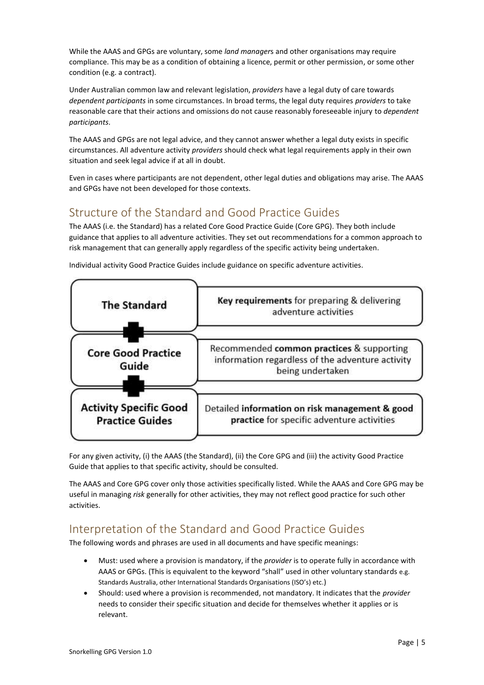While the AAAS and GPGs are voluntary, some *land manager*s and other organisations may require compliance. This may be as a condition of obtaining a licence, permit or other permission, or some other condition (e.g. a contract).

Under Australian common law and relevant legislation, *providers* have a legal duty of care towards *dependent participants* in some circumstances. In broad terms, the legal duty requires *providers* to take reasonable care that their actions and omissions do not cause reasonably foreseeable injury to *dependent participants*.

The AAAS and GPGs are not legal advice, and they cannot answer whether a legal duty exists in specific circumstances. All adventure activity *providers* should check what legal requirements apply in their own situation and seek legal advice if at all in doubt.

Even in cases where participants are not dependent, other legal duties and obligations may arise. The AAAS and GPGs have not been developed for those contexts.

# <span id="page-4-0"></span>Structure of the Standard and Good Practice Guides

The AAAS (i.e. the Standard) has a related Core Good Practice Guide (Core GPG). They both include guidance that applies to all adventure activities. They set out recommendations for a common approach to risk management that can generally apply regardless of the specific activity being undertaken.



Individual activity Good Practice Guides include guidance on specific adventure activities.

For any given activity, (i) the AAAS (the Standard), (ii) the Core GPG and (iii) the activity Good Practice Guide that applies to that specific activity, should be consulted.

The AAAS and Core GPG cover only those activities specifically listed. While the AAAS and Core GPG may be useful in managing *risk* generally for other activities, they may not reflect good practice for such other activities.

# <span id="page-4-1"></span>Interpretation of the Standard and Good Practice Guides

The following words and phrases are used in all documents and have specific meanings:

- Must: used where a provision is mandatory, if the *provider* is to operate fully in accordance with AAAS or GPGs. (This is equivalent to the keyword "shall" used in other voluntary standards e.g. Standards Australia, other International Standards Organisations (ISO's) etc.)
- Should: used where a provision is recommended, not mandatory. It indicates that the *provider* needs to consider their specific situation and decide for themselves whether it applies or is relevant.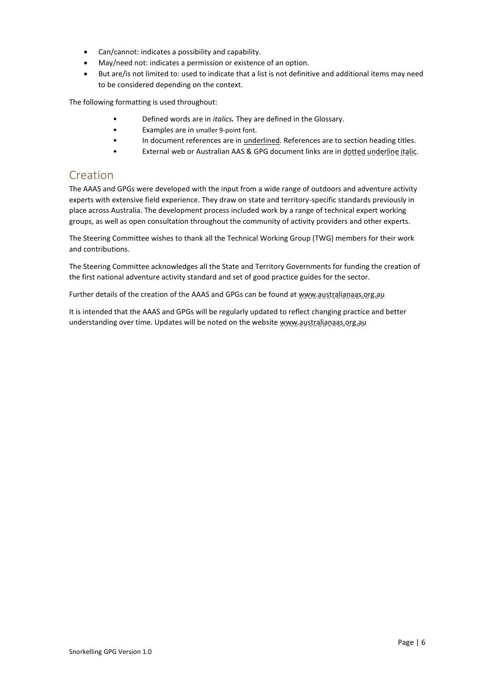- Can/cannot: indicates a possibility and capability.
- May/need not: indicates a permission or existence of an option.
- But are/is not limited to: used to indicate that a list is not definitive and additional items may need to be considered depending on the context.

The following formatting is used throughout:

- Defined words are in *italics.* They are defined in the [Glossary.](#page-24-0)
- Examples are in smaller 9-point font.
- In document references are in underlined. References are to section heading titles.
- External web or Australian AAS & GPG document links are in dotted underline italic.

# <span id="page-5-0"></span>Creation

The AAAS and GPGs were developed with the input from a wide range of outdoors and adventure activity experts with extensive field experience. They draw on state and territory-specific standards previously in place across Australia. The development process included work by a range of technical expert working groups, as well as open consultation throughout the community of activity providers and other experts.

The Steering Committee wishes to thank all the Technical Working Group (TWG) members for their work and contributions.

The Steering Committee acknowledges all the State and Territory Governments for funding the creation of the first national adventure activity standard and set of good practice guides for the sector.

Further details of the creation of the AAAS and GPGs can be found at www.australianaas.org.au

It is intended that the AAAS and GPGs will be regularly updated to reflect changing practice and better understanding over time. Updates will be noted on the website www.australianaas.org.au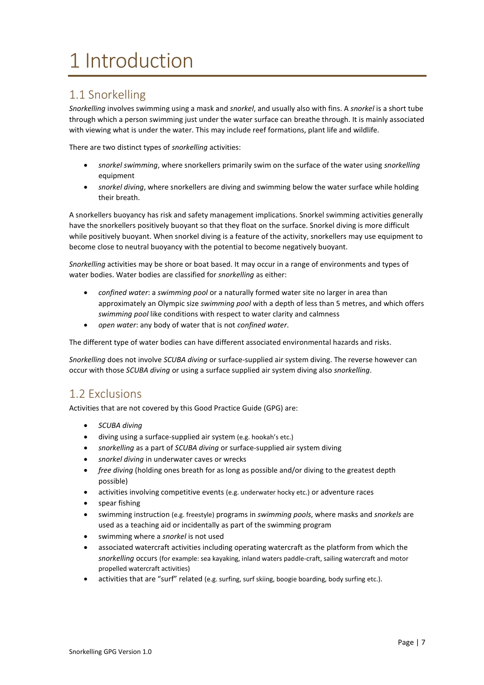# <span id="page-6-0"></span>1 Introduction

# <span id="page-6-1"></span>1.1 Snorkelling

*Snorkelling* involves swimming using a mask and *snorkel*, and usually also with fins. A *snorkel* is a short tube through which a person swimming just under the water surface can breathe through. It is mainly associated with viewing what is under the water. This may include reef formations, plant life and wildlife.

There are two distinct types of *snorkelling* activities:

- *snorkel swimming*, where snorkellers primarily swim on the surface of the water using *snorkelling* equipment
- *snorkel diving*, where snorkellers are diving and swimming below the water surface while holding their breath.

A snorkellers buoyancy has risk and safety management implications. Snorkel swimming activities generally have the snorkellers positively buoyant so that they float on the surface. Snorkel diving is more difficult while positively buoyant. When snorkel diving is a feature of the activity, snorkellers may use equipment to become close to neutral buoyancy with the potential to become negatively buoyant.

*Snorkelling* activities may be shore or boat based. It may occur in a range of environments and types of water bodies. Water bodies are classified for *snorkelling* as either:

- *confined water*: a *swimming pool* or a naturally formed water site no larger in area than approximately an Olympic size *swimming pool* with a depth of less than 5 metres, and which offers *swimming pool* like conditions with respect to water clarity and calmness
- *open water*: any body of water that is not *confined water*.

The different type of water bodies can have different associated environmental hazards and risks.

*Snorkelling* does not involve *SCUBA diving* or surface-supplied air system diving. The reverse however can occur with those *SCUBA diving* or using a surface supplied air system diving also *snorkelling*.

# <span id="page-6-2"></span>1.2 Exclusions

Activities that are not covered by this Good Practice Guide (GPG) are:

- *SCUBA diving*
- diving using a surface-supplied air system (e.g. hookah's etc.)
- *snorkelling* as a part of *SCUBA diving* or surface-supplied air system diving
- *snorkel diving* in underwater caves or wrecks
- *free diving* (holding ones breath for as long as possible and/or diving to the greatest depth possible)
- activities involving competitive events (e.g. underwater hocky etc.) or adventure races
- spear fishing
- swimming instruction (e.g. freestyle) programs in *swimming pools*, where masks and *snorkels* are used as a teaching aid or incidentally as part of the swimming program
- swimming where a *snorkel* is not used
- associated watercraft activities including operating watercraft as the platform from which the *snorkelling* occurs (for example: sea kayaking, inland waters paddle-craft, sailing watercraft and motor propelled watercraft activities)
- activities that are "surf" related (e.g. surfing, surf skiing, boogie boarding, body surfing etc.).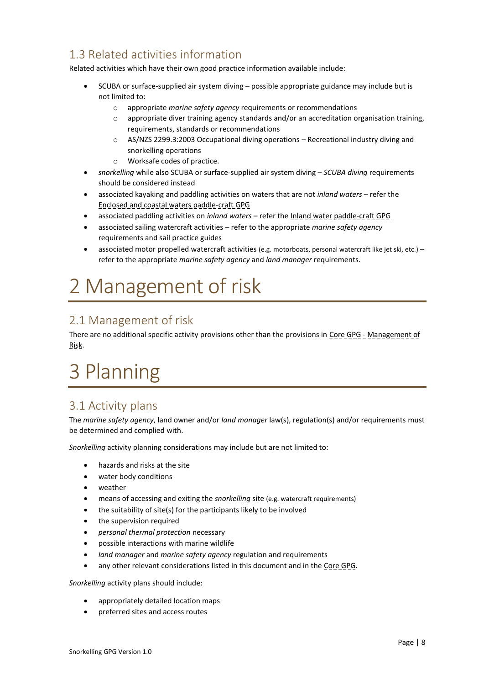# <span id="page-7-2"></span>1.3 Related activities information

Related activities which have their own good practice information available include:

- SCUBA or surface-supplied air system diving possible appropriate guidance may include but is not limited to:
	- o appropriate *marine safety agency* requirements or recommendations
	- $\circ$  appropriate diver training agency standards and/or an accreditation organisation training, requirements, standards or recommendations
	- $\circ$  AS/NZS 2299.3:2003 Occupational diving operations Recreational industry diving and snorkelling operations
	- o Worksafe codes of practice.
- *snorkelling* while also SCUBA or surface-supplied air system diving *SCUBA diving* requirements should be considered instead
- associated kayaking and paddling activities on waters that are not *inland waters* refer the Enclosed and coastal waters paddle-craft GPG
- associated paddling activities on *inland waters* refer the Inland water paddle-craft GPG
- associated sailing watercraft activities refer to the appropriate *marine safety agency* requirements and sail practice guides
- associated motor propelled watercraft activities (e.g. motorboats, personal watercraft like jet ski, etc.) refer to the appropriate *marine safety agency* and *land manager* requirements.

# <span id="page-7-0"></span>2 Management of risk

# <span id="page-7-3"></span>2.1 Management of risk

There are no additional specific activity provisions other than the provisions in Core GPG - Management of Risk.

# <span id="page-7-1"></span>3 Planning

# <span id="page-7-4"></span>3.1 Activity plans

The *marine safety agency*, land owner and/or *land manager* law(s), regulation(s) and/or requirements must be determined and complied with.

*Snorkelling* activity planning considerations may include but are not limited to:

- hazards and risks at the site
- water body conditions
- weather
- means of accessing and exiting the *snorkelling* site (e.g. watercraft requirements)
- the suitability of site(s) for the participants likely to be involved
- the supervision required
- *personal thermal protection* necessary
- possible interactions with marine wildlife
- *land manager* and *marine safety agency* regulation and requirements
- any other relevant considerations listed in this document and in the Core GPG.

*Snorkelling* activity plans should include:

- appropriately detailed location maps
- preferred sites and access routes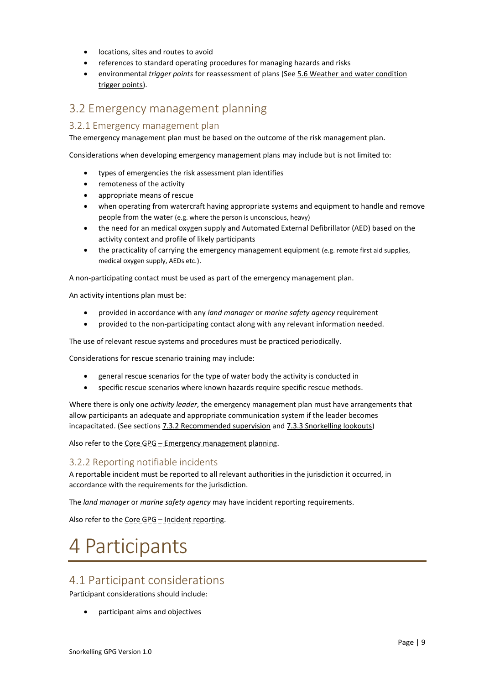- locations, sites and routes to avoid
- references to standard operating procedures for managing hazards and risks
- environmental *trigger points* for reassessment of plans (See [5.6 Weather and water condition](#page-12-0)  trigger [points\)](#page-12-0).

# <span id="page-8-1"></span>3.2 Emergency management planning

#### <span id="page-8-3"></span>3.2.1 Emergency management plan

The emergency management plan must be based on the outcome of the risk management plan.

Considerations when developing emergency management plans may include but is not limited to:

- types of emergencies the risk assessment plan identifies
- remoteness of the activity
- appropriate means of rescue
- when operating from watercraft having appropriate systems and equipment to handle and remove people from the water (e.g. where the person is unconscious, heavy)
- the need for an medical oxygen supply and Automated External Defibrillator (AED) based on the activity context and profile of likely participants
- the practicality of carrying the emergency management equipment (e.g. remote first aid supplies, medical oxygen supply, AEDs etc.).

A non-participating contact must be used as part of the emergency management plan.

An activity intentions plan must be:

- provided in accordance with any *land manager* or *marine safety agency* requirement
- provided to the non-participating contact along with any relevant information needed.

The use of relevant rescue systems and procedures must be practiced periodically.

Considerations for rescue scenario training may include:

- general rescue scenarios for the type of water body the activity is conducted in
- specific rescue scenarios where known hazards require specific rescue methods.

Where there is only one *activity leader*, the emergency management plan must have arrangements that allow participants an adequate and appropriate communication system if the leader becomes incapacitated. (See sections [7.3.2 Recommended supervision](#page-19-0) an[d 7.3.3 Snorkelling lookouts\)](#page-20-0)

Also refer to the Core GPG - Emergency management planning.

# <span id="page-8-4"></span>3.2.2 Reporting notifiable incidents

A reportable incident must be reported to all relevant authorities in the jurisdiction it occurred, in accordance with the requirements for the jurisdiction.

The *land manager* or *marine safety agency* may have incident reporting requirements.

Also refer to the Core GPG – Incident reporting.

# <span id="page-8-0"></span>4 Participants

# <span id="page-8-2"></span>4.1 Participant considerations

Participant considerations should include:

• participant aims and objectives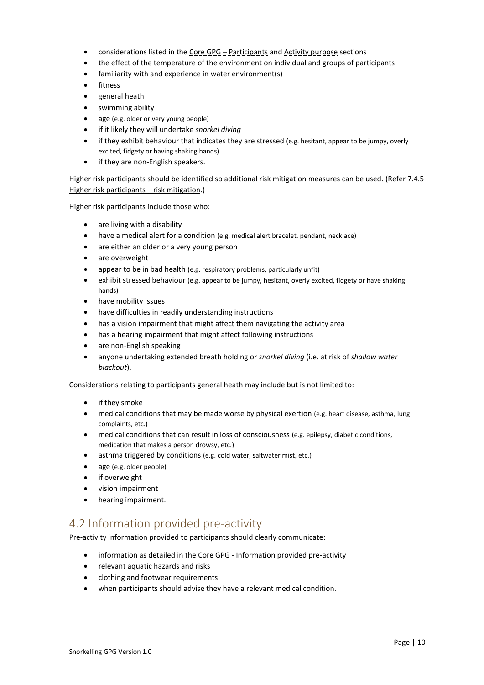- considerations listed in the Core GPG Participants and Activity purpose sections
- the effect of the temperature of the environment on individual and groups of participants
- familiarity with and experience in water environment(s)
- fitness
- general heath
- swimming ability
- age (e.g. older or very young people)
- if it likely they will undertake *snorkel diving*
- if they exhibit behaviour that indicates they are stressed (e.g. hesitant, appear to be jumpy, overly excited, fidgety or having shaking hands)
- if they are non-English speakers.

Higher risk participants should be identified so additional risk mitigation measures can be used. (Refer [7.4.5](#page-21-0)  [Higher risk participants](#page-21-0) – risk mitigation.)

Higher risk participants include those who:

- are living with a disability
- have a medical alert for a condition (e.g. medical alert bracelet, pendant, necklace)
- are either an older or a very young person
- are overweight
- appear to be in bad health (e.g. respiratory problems, particularly unfit)
- exhibit stressed behaviour (e.g. appear to be jumpy, hesitant, overly excited, fidgety or have shaking hands)
- have mobility issues
- have difficulties in readily understanding instructions
- has a vision impairment that might affect them navigating the activity area
- has a hearing impairment that might affect following instructions
- are non-English speaking
- anyone undertaking extended breath holding or *snorkel diving* (i.e. at risk of *shallow water blackout*).

Considerations relating to participants general heath may include but is not limited to:

- if they smoke
- medical conditions that may be made worse by physical exertion (e.g. heart disease, asthma, lung complaints, etc.)
- medical conditions that can result in loss of consciousness (e.g. epilepsy, diabetic conditions, medication that makes a person drowsy, etc.)
- asthma triggered by conditions (e.g. cold water, saltwater mist, etc.)
- age (e.g. older people)
- if overweight
- vision impairment
- hearing impairment.

# <span id="page-9-0"></span>4.2 Information provided pre-activity

Pre-activity information provided to participants should clearly communicate:

- information as detailed in the Core GPG Information provided pre-activity
- relevant aquatic hazards and risks
- clothing and footwear requirements
- when participants should advise they have a relevant medical condition.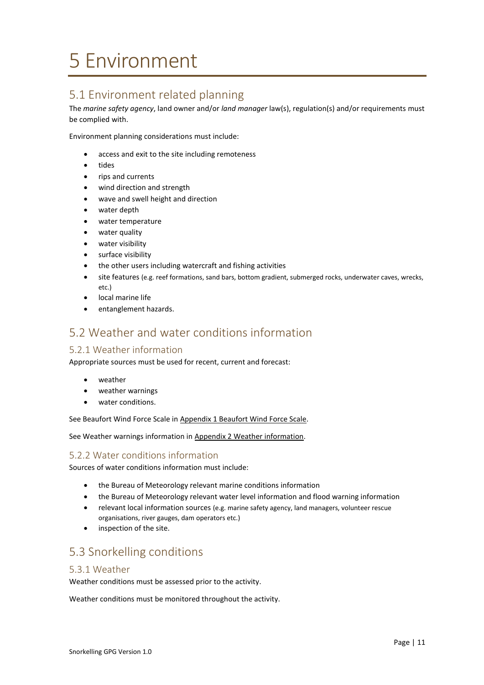# <span id="page-10-0"></span>5 Environment

# <span id="page-10-1"></span>5.1 Environment related planning

The *marine safety agency*, land owner and/or *land manager* law(s), regulation(s) and/or requirements must be complied with.

Environment planning considerations must include:

- access and exit to the site including remoteness
- tides
- rips and currents
- wind direction and strength
- wave and swell height and direction
- water depth
- water temperature
- water quality
- water visibility
- surface visibility
- the other users including watercraft and fishing activities
- site features (e.g. reef formations, sand bars, bottom gradient, submerged rocks, underwater caves, wrecks, etc.)
- local marine life
- entanglement hazards.

# <span id="page-10-2"></span>5.2 Weather and water conditions information

# <span id="page-10-3"></span>5.2.1 Weather information

Appropriate sources must be used for recent, current and forecast:

- weather
- weather warnings
- water conditions.

See Beaufort Wind Force Scale i[n Appendix 1 Beaufort Wind Force Scale.](#page-27-1)

See Weather warnings information in [Appendix 2 Weather information.](#page-29-0)

#### <span id="page-10-4"></span>5.2.2 Water conditions information

Sources of water conditions information must include:

- the Bureau of Meteorology relevant marine conditions information
- the Bureau of Meteorology relevant water level information and flood warning information
- relevant local information sources (e.g. marine safety agency, land managers, volunteer rescue organisations, river gauges, dam operators etc.)
- inspection of the site.

# <span id="page-10-5"></span>5.3 Snorkelling conditions

#### <span id="page-10-6"></span>5.3.1 Weather

Weather conditions must be assessed prior to the activity.

Weather conditions must be monitored throughout the activity.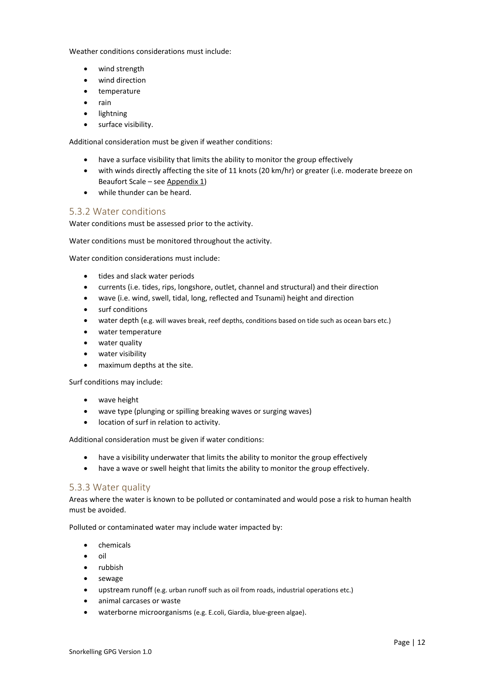Weather conditions considerations must include:

- wind strength
- wind direction
- temperature
- rain
- lightning
- surface visibility.

Additional consideration must be given if weather conditions:

- have a surface visibility that limits the ability to monitor the group effectively
- with winds directly affecting the site of 11 knots (20 km/hr) or greater (i.e. moderate breeze on Beaufort Scale – se[e Appendix 1\)](#page-27-1)
- while thunder can be heard.

# <span id="page-11-0"></span>5.3.2 Water conditions

Water conditions must be assessed prior to the activity.

Water conditions must be monitored throughout the activity.

Water condition considerations must include:

- tides and slack water periods
- currents (i.e. tides, rips, longshore, outlet, channel and structural) and their direction
- wave (i.e. wind, swell, tidal, long, reflected and Tsunami) height and direction
- surf conditions
- water depth (e.g. will waves break, reef depths, conditions based on tide such as ocean bars etc.)
- water temperature
- water quality
- water visibility
- maximum depths at the site.

Surf conditions may include:

- wave height
- wave type (plunging or spilling breaking waves or surging waves)
- location of surf in relation to activity.

Additional consideration must be given if water conditions:

- have a visibility underwater that limits the ability to monitor the group effectively
- have a wave or swell height that limits the ability to monitor the group effectively.

#### <span id="page-11-1"></span>5.3.3 Water quality

Areas where the water is known to be polluted or contaminated and would pose a risk to human health must be avoided.

Polluted or contaminated water may include water impacted by:

- chemicals
- oil
- rubbish
- sewage
- upstream runoff (e.g. urban runoff such as oil from roads, industrial operations etc.)
- animal carcases or waste
- waterborne microorganisms (e.g. E.coli, Giardia, blue-green algae).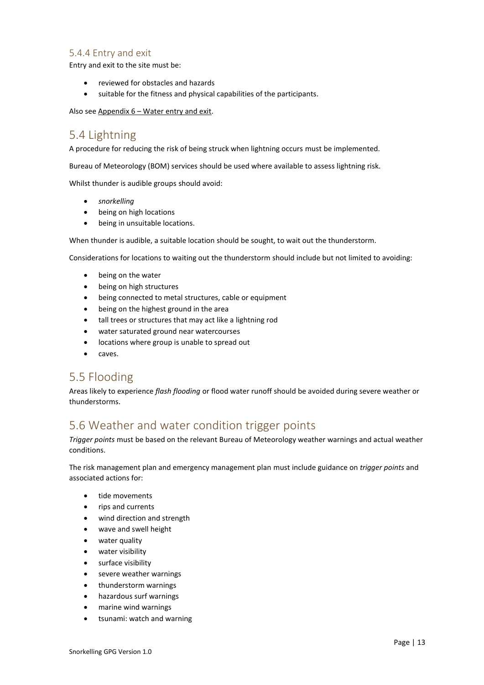# <span id="page-12-1"></span>5.4.4 Entry and exit

Entry and exit to the site must be:

- reviewed for obstacles and hazards
- suitable for the fitness and physical capabilities of the participants.

Also see Appendix 6 – [Water entry and exit.](#page-33-0)

# <span id="page-12-2"></span>5.4 Lightning

A procedure for reducing the risk of being struck when lightning occurs must be implemented.

Bureau of Meteorology (BOM) services should be used where available to assess lightning risk.

Whilst thunder is audible groups should avoid:

- *snorkelling*
- being on high locations
- being in unsuitable locations.

When thunder is audible, a suitable location should be sought, to wait out the thunderstorm.

Considerations for locations to waiting out the thunderstorm should include but not limited to avoiding:

- being on the water
- being on high structures
- being connected to metal structures, cable or equipment
- being on the highest ground in the area
- tall trees or structures that may act like a lightning rod
- water saturated ground near watercourses
- locations where group is unable to spread out
- caves.

# <span id="page-12-3"></span>5.5 Flooding

Areas likely to experience *flash flooding* or flood water runoff should be avoided during severe weather or thunderstorms.

# <span id="page-12-0"></span>5.6 Weather and water condition trigger points

*Trigger points* must be based on the relevant Bureau of Meteorology weather warnings and actual weather conditions.

The risk management plan and emergency management plan must include guidance on *trigger points* and associated actions for:

- tide movements
- rips and currents
- wind direction and strength
- wave and swell height
- water quality
- water visibility
- surface visibility
- severe weather warnings
- thunderstorm warnings
- hazardous surf warnings
- marine wind warnings
- tsunami: watch and warning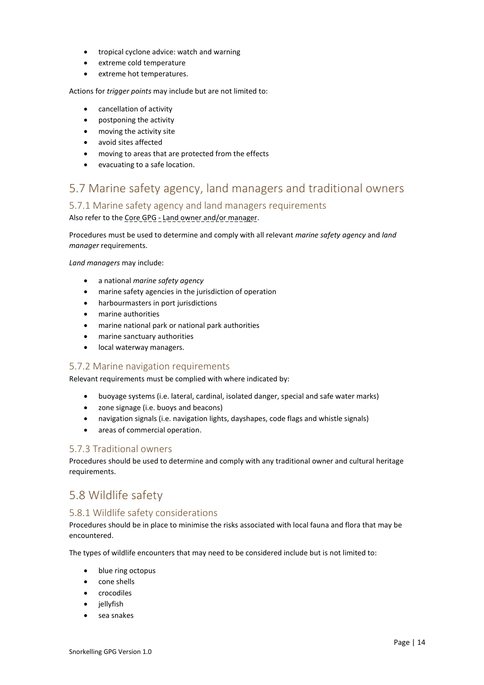- tropical cyclone advice: watch and warning
- extreme cold temperature
- extreme hot temperatures.

Actions for *trigger points* may include but are not limited to:

- cancellation of activity
- postponing the activity
- moving the activity site
- avoid sites affected
- moving to areas that are protected from the effects
- evacuating to a safe location.

# <span id="page-13-0"></span>5.7 Marine safety agency, land managers and traditional owners

# <span id="page-13-1"></span>5.7.1 Marine safety agency and land managers requirements

Also refer to the Core GPG - Land owner and/or manager.

Procedures must be used to determine and comply with all relevant *marine safety agency* and *land manager* requirements.

*Land managers* may include:

- a national *marine safety agency*
- marine safety agencies in the jurisdiction of operation
- harbourmasters in port jurisdictions
- marine authorities
- marine national park or national park authorities
- marine sanctuary authorities
- local waterway managers.

#### <span id="page-13-2"></span>5.7.2 Marine navigation requirements

Relevant requirements must be complied with where indicated by:

- buoyage systems (i.e. lateral, cardinal, isolated danger, special and safe water marks)
- zone signage (i.e. buoys and beacons)
- navigation signals (i.e. navigation lights, dayshapes, code flags and whistle signals)
- areas of commercial operation.

# <span id="page-13-3"></span>5.7.3 Traditional owners

Procedures should be used to determine and comply with any traditional owner and cultural heritage requirements.

# <span id="page-13-4"></span>5.8 Wildlife safety

# <span id="page-13-5"></span>5.8.1 Wildlife safety considerations

Procedures should be in place to minimise the risks associated with local fauna and flora that may be encountered.

The types of wildlife encounters that may need to be considered include but is not limited to:

- blue ring octopus
- cone shells
- crocodiles
- jellyfish
- sea snakes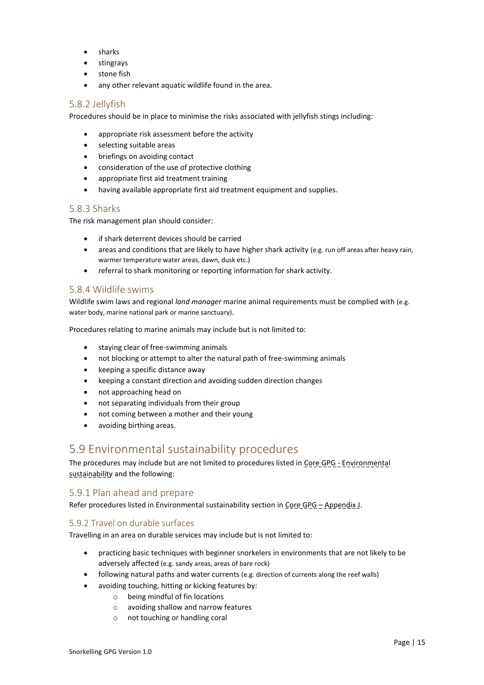- sharks
- stingrays
- stone fish
- any other relevant aquatic wildlife found in the area.

### <span id="page-14-0"></span>5.8.2 Jellyfish

Procedures should be in place to minimise the risks associated with jellyfish stings including:

- appropriate risk assessment before the activity
- selecting suitable areas
- briefings on avoiding contact
- consideration of the use of protective clothing
- appropriate first aid treatment training
- having available appropriate first aid treatment equipment and supplies.

### <span id="page-14-1"></span>5.8.3 Sharks

The risk management plan should consider:

- if shark deterrent devices should be carried
- areas and conditions that are likely to have higher shark activity (e.g. run off areas after heavy rain, warmer temperature water areas, dawn, dusk etc.)
- referral to shark monitoring or reporting information for shark activity.

### <span id="page-14-2"></span>5.8.4 Wildlife swims

Wildlife swim laws and regional *land manager* marine animal requirements must be complied with (e.g. water body, marine national park or marine sanctuary).

Procedures relating to marine animals may include but is not limited to:

- staying clear of free-swimming animals
- not blocking or attempt to alter the natural path of free-swimming animals
- keeping a specific distance away
- keeping a constant direction and avoiding sudden direction changes
- not approaching head on
- not separating individuals from their group
- not coming between a mother and their young
- avoiding birthing areas.

# <span id="page-14-3"></span>5.9 Environmental sustainability procedures

The procedures may include but are not limited to procedures listed in Core GPG - Environmental sustainability and the following:

# <span id="page-14-4"></span>5.9.1 Plan ahead and prepare

Refer procedures listed in Environmental sustainability section in Core GPG - Appendix J.

#### <span id="page-14-5"></span>5.9.2 Travel on durable surfaces

Travelling in an area on durable services may include but is not limited to:

- practicing basic techniques with beginner snorkelers in environments that are not likely to be adversely affected (e.g. sandy areas, areas of bare rock)
- following natural paths and water currents (e.g. direction of currents along the reef walls)
- avoiding touching, hitting or kicking features by:
	- o being mindful of fin locations
	- o avoiding shallow and narrow features
	- o not touching or handling coral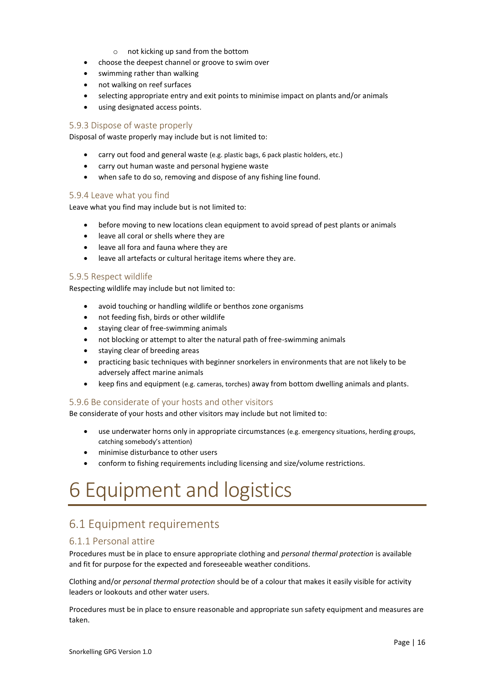- o not kicking up sand from the bottom
- choose the deepest channel or groove to swim over
- swimming rather than walking
- not walking on reef surfaces
- selecting appropriate entry and exit points to minimise impact on plants and/or animals
- using designated access points.

#### <span id="page-15-1"></span>5.9.3 Dispose of waste properly

Disposal of waste properly may include but is not limited to:

- carry out food and general waste (e.g. plastic bags, 6 pack plastic holders, etc.)
- carry out human waste and personal hygiene waste
- when safe to do so, removing and dispose of any fishing line found.

#### <span id="page-15-2"></span>5.9.4 Leave what you find

Leave what you find may include but is not limited to:

- before moving to new locations clean equipment to avoid spread of pest plants or animals
- leave all coral or shells where they are
- leave all fora and fauna where they are
- leave all artefacts or cultural heritage items where they are.

#### <span id="page-15-3"></span>5.9.5 Respect wildlife

Respecting wildlife may include but not limited to:

- avoid touching or handling wildlife or benthos zone organisms
- not feeding fish, birds or other wildlife
- staying clear of free-swimming animals
- not blocking or attempt to alter the natural path of free-swimming animals
- staying clear of breeding areas
- practicing basic techniques with beginner snorkelers in environments that are not likely to be adversely affect marine animals
- keep fins and equipment (e.g. cameras, torches) away from bottom dwelling animals and plants.

#### <span id="page-15-4"></span>5.9.6 Be considerate of your hosts and other visitors

Be considerate of your hosts and other visitors may include but not limited to:

- use underwater horns only in appropriate circumstances (e.g. emergency situations, herding groups, catching somebody's attention)
- minimise disturbance to other users
- conform to fishing requirements including licensing and size/volume restrictions.

# <span id="page-15-0"></span>6 Equipment and logistics

# <span id="page-15-5"></span>6.1 Equipment requirements

# <span id="page-15-6"></span>6.1.1 Personal attire

Procedures must be in place to ensure appropriate clothing and *personal thermal protection* is available and fit for purpose for the expected and foreseeable weather conditions.

Clothing and/or *personal thermal protection* should be of a colour that makes it easily visible for activity leaders or lookouts and other water users.

Procedures must be in place to ensure reasonable and appropriate sun safety equipment and measures are taken.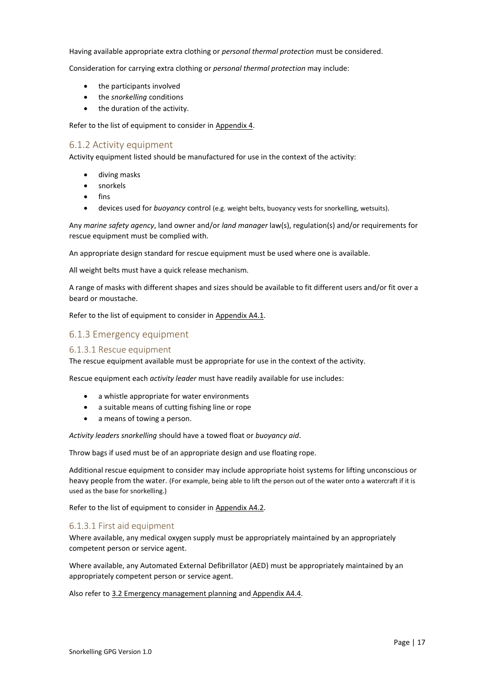Having available appropriate extra clothing or *personal thermal protection* must be considered.

Consideration for carrying extra clothing or *personal thermal protection* may include:

- the participants involved
- the *snorkelling* conditions
- the duration of the activity.

Refer to the list of equipment to consider in [Appendix 4.](#page-30-0)

#### <span id="page-16-2"></span>6.1.2 Activity equipment

Activity equipment listed should be manufactured for use in the context of the activity:

- diving masks
- snorkels
- fins
- devices used for *buoyancy* control (e.g. weight belts, buoyancy vests for snorkelling, wetsuits).

Any *marine safety agency*, land owner and/or *land manager* law(s), regulation(s) and/or requirements for rescue equipment must be complied with.

An appropriate design standard for rescue equipment must be used where one is available.

All weight belts must have a quick release mechanism.

A range of masks with different shapes and sizes should be available to fit different users and/or fit over a beard or moustache.

Refer to the list of equipment to consider in [Appendix A4.1.](#page-30-1)

# <span id="page-16-1"></span>6.1.3 Emergency equipment

#### <span id="page-16-0"></span>6.1.3.1 Rescue equipment

The rescue equipment available must be appropriate for use in the context of the activity.

Rescue equipment each *activity leader* must have readily available for use includes:

- a whistle appropriate for water environments
- a suitable means of cutting fishing line or rope
- a means of towing a person.

*Activity leaders snorkelling* should have a towed float or *buoyancy aid*.

Throw bags if used must be of an appropriate design and use floating rope.

Additional rescue equipment to consider may include appropriate hoist systems for lifting unconscious or heavy people from the water. (For example, being able to lift the person out of the water onto a watercraft if it is used as the base for snorkelling.)

Refer to the list of equipment to consider in [Appendix A4.2.](#page-30-2)

#### <span id="page-16-3"></span>6.1.3.1 First aid equipment

Where available, any medical oxygen supply must be appropriately maintained by an appropriately competent person or service agent.

Where available, any Automated External Defibrillator (AED) must be appropriately maintained by an appropriately competent person or service agent.

Also refer t[o 3.2 Emergency management planning](#page-8-1) and [Appendix A4.4.](#page-31-0)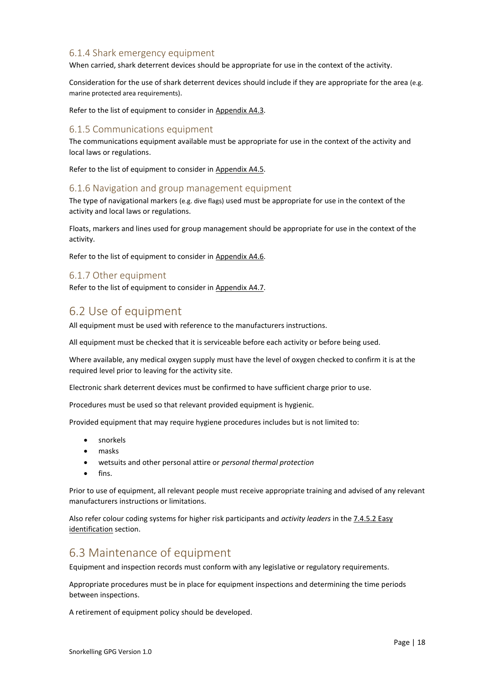# <span id="page-17-1"></span>6.1.4 Shark emergency equipment

When carried, shark deterrent devices should be appropriate for use in the context of the activity.

Consideration for the use of shark deterrent devices should include if they are appropriate for the area (e.g. marine protected area requirements).

Refer to the list of equipment to consider in [Appendix A4.3.](#page-31-1)

#### <span id="page-17-0"></span>6.1.5 Communications equipment

The communications equipment available must be appropriate for use in the context of the activity and local laws or regulations.

Refer to the list of equipment to consider in [Appendix A4.5.](#page-31-2)

#### <span id="page-17-2"></span>6.1.6 Navigation and group management equipment

The type of navigational markers (e.g. dive flags) used must be appropriate for use in the context of the activity and local laws or regulations.

Floats, markers and lines used for group management should be appropriate for use in the context of the activity.

Refer to the list of equipment to consider in [Appendix A4.6.](#page-31-3)

#### <span id="page-17-3"></span>6.1.7 Other equipment

Refer to the list of equipment to consider in [Appendix A4.7.](#page-31-4)

# <span id="page-17-4"></span>6.2 Use of equipment

All equipment must be used with reference to the manufacturers instructions.

All equipment must be checked that it is serviceable before each activity or before being used.

Where available, any medical oxygen supply must have the level of oxygen checked to confirm it is at the required level prior to leaving for the activity site.

Electronic shark deterrent devices must be confirmed to have sufficient charge prior to use.

Procedures must be used so that relevant provided equipment is hygienic.

Provided equipment that may require hygiene procedures includes but is not limited to:

- snorkels
- masks
- wetsuits and other personal attire or *personal thermal protection*
- fins.

Prior to use of equipment, all relevant people must receive appropriate training and advised of any relevant manufacturers instructions or limitations.

Also refer colour coding systems for higher risk participants and *activity leaders* in the [7.4.5.2 Easy](#page-22-0)  [identification](#page-22-0) section.

# <span id="page-17-5"></span>6.3 Maintenance of equipment

Equipment and inspection records must conform with any legislative or regulatory requirements.

Appropriate procedures must be in place for equipment inspections and determining the time periods between inspections.

A retirement of equipment policy should be developed.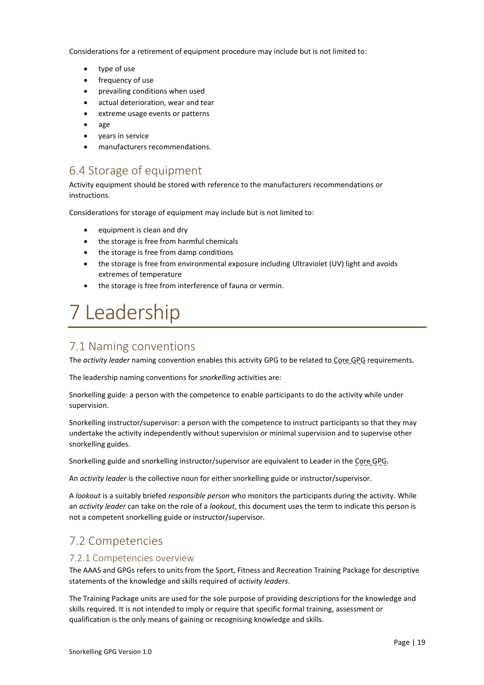Considerations for a retirement of equipment procedure may include but is not limited to:

- type of use
- frequency of use
- prevailing conditions when used
- actual deterioration, wear and tear
- extreme usage events or patterns
- age
- years in service
- manufacturers recommendations.

# <span id="page-18-2"></span>6.4 Storage of equipment

Activity equipment should be stored with reference to the manufacturers recommendations or instructions.

Considerations for storage of equipment may include but is not limited to:

- equipment is clean and dry
- the storage is free from harmful chemicals
- the storage is free from damp conditions
- the storage is free from environmental exposure including Ultraviolet (UV) light and avoids extremes of temperature
- the storage is free from interference of fauna or vermin.

# <span id="page-18-0"></span>7 Leadership

# <span id="page-18-3"></span>7.1 Naming conventions

The *activity leader* naming convention enables this activity GPG to be related to Core GPG requirements.

The leadership naming conventions for *snorkelling* activities are:

Snorkelling guide: a person with the competence to enable participants to do the activity while under supervision.

Snorkelling instructor/supervisor: a person with the competence to instruct participants so that they may undertake the activity independently without supervision or minimal supervision and to supervise other snorkelling guides.

Snorkelling guide and snorkelling instructor/supervisor are equivalent to Leader in the Core GPG.

An *activity leader* is the collective noun for either snorkelling guide or instructor/supervisor.

A *lookout* is a suitably briefed *responsible person* who monitors the participants during the activity. While an *activity leader* can take on the role of a *lookout*, this document uses the term to indicate this person is not a competent snorkelling guide or instructor/supervisor.

# <span id="page-18-4"></span>7.2 Competencies

#### <span id="page-18-1"></span>7.2.1 Competencies overview

The AAAS and GPGs refers to units from the Sport, Fitness and Recreation Training Package for descriptive statements of the knowledge and skills required of *activity leaders*.

The Training Package units are used for the sole purpose of providing descriptions for the knowledge and skills required. It is not intended to imply or require that specific formal training, assessment or qualification is the only means of gaining or recognising knowledge and skills.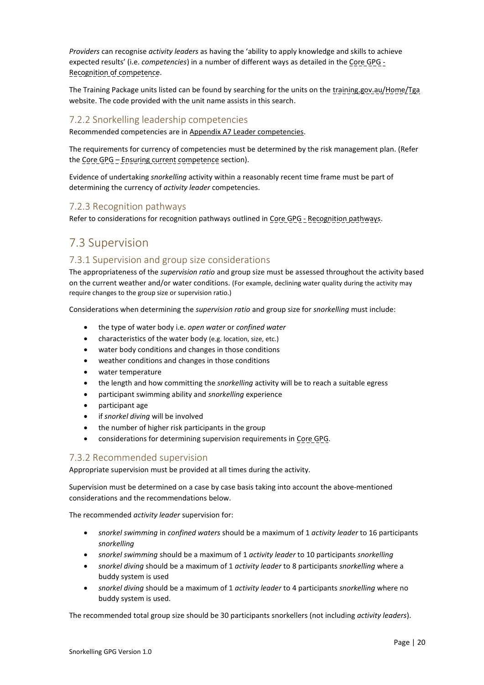*Providers* can recognise *activity leaders* as having the 'ability to apply knowledge and skills to achieve expected results' (i.e. *competencies*) in a number of different ways as detailed in the Core GPG - Recognition of competence.

The Training Package units listed can be found by searching for the units on the training.gov.au/Home/Tga website. The code provided with the unit name assists in this search.

#### <span id="page-19-1"></span>7.2.2 Snorkelling leadership competencies

Recommended competencies are in Appendix A7 [Leader competencies.](#page-34-0)

The requirements for currency of competencies must be determined by the risk management plan. (Refer the Core GPG - Ensuring current competence section).

Evidence of undertaking *snorkelling* activity within a reasonably recent time frame must be part of determining the currency of *activity leader* competencies.

### <span id="page-19-2"></span>7.2.3 Recognition pathways

Refer to considerations for recognition pathways outlined in Core GPG - Recognition pathways.

# <span id="page-19-3"></span>7.3 Supervision

# <span id="page-19-4"></span>7.3.1 Supervision and group size considerations

The appropriateness of the *supervision ratio* and group size must be assessed throughout the activity based on the current weather and/or water conditions. (For example, declining water quality during the activity may require changes to the group size or supervision ratio.)

Considerations when determining the *supervision ratio* and group size for *snorkelling* must include:

- the type of water body i.e. *open water* or *confined water*
- characteristics of the water body (e.g. location, size, etc.)
- water body conditions and changes in those conditions
- weather conditions and changes in those conditions
- water temperature
- the length and how committing the *snorkelling* activity will be to reach a suitable egress
- participant swimming ability and *snorkelling* experience
- participant age
- if *snorkel diving* will be involved
- the number of higher risk participants in the group
- considerations for determining supervision requirements in Core GPG.

#### <span id="page-19-0"></span>7.3.2 Recommended supervision

Appropriate supervision must be provided at all times during the activity.

Supervision must be determined on a case by case basis taking into account the above-mentioned considerations and the recommendations below.

The recommended *activity leader* supervision for:

- *snorkel swimming* in *confined waters* should be a maximum of 1 *activity leader* to 16 participants *snorkelling*
- *snorkel swimming* should be a maximum of 1 *activity leader* to 10 participants *snorkelling*
- *snorkel diving* should be a maximum of 1 *activity leader* to 8 participants *snorkelling* where a buddy system is used
- *snorkel diving* should be a maximum of 1 *activity leader* to 4 participants *snorkelling* where no buddy system is used.

The recommended total group size should be 30 participants snorkellers (not including *activity leaders*).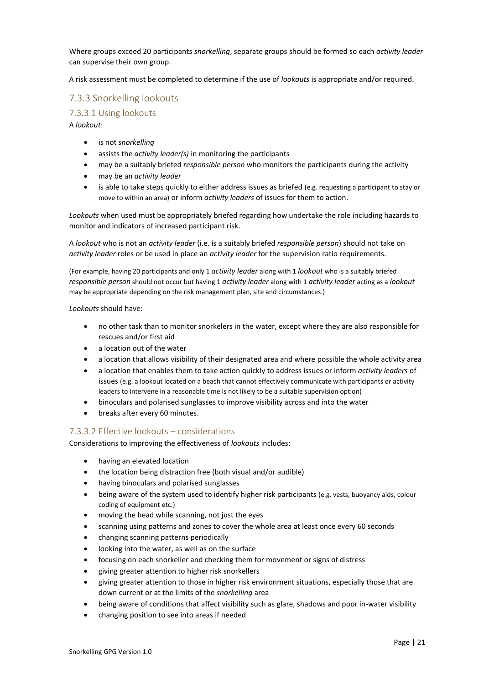Where groups exceed 20 participants *snorkelling*, separate groups should be formed so each *activity leader* can supervise their own group.

A risk assessment must be completed to determine if the use of *lookouts* is appropriate and/or required.

# <span id="page-20-0"></span>7.3.3 Snorkelling lookouts

### <span id="page-20-1"></span>7.3.3.1 Using lookouts

A *lookout*:

- is not *snorkelling*
- assists the *activity leader(s)* in monitoring the participants
- may be a suitably briefed *responsible person* who monitors the participants during the activity
- may be an *activity leader*
- is able to take steps quickly to either address issues as briefed (e.g. requesting a participant to stay or move to within an area) or inform *activity leaders* of issues for them to action.

*Lookouts* when used must be appropriately briefed regarding how undertake the role including hazards to monitor and indicators of increased participant risk.

A *lookout* who is not an *activity leader* (i.e. is a suitably briefed *responsible person*) should not take on *activity leader* roles or be used in place an *activity leader* for the supervision ratio requirements.

(For example, having 20 participants and only 1 *activity leader* along with 1 *lookout* who is a suitably briefed *responsible person* should not occur but having 1 *activity leader* along with 1 *activity leader* acting as a *lookout* may be appropriate depending on the risk management plan, site and circumstances.)

*Lookouts* should have:

- no other task than to monitor snorkelers in the water, except where they are also responsible for rescues and/or first aid
- a location out of the water
- a location that allows visibility of their designated area and where possible the whole activity area
- a location that enables them to take action quickly to address issues or inform *activity leaders* of issues (e.g. a lookout located on a beach that cannot effectively communicate with participants or activity leaders to intervene in a reasonable time is not likely to be a suitable supervision option)
- binoculars and polarised sunglasses to improve visibility across and into the water
- breaks after every 60 minutes.

#### <span id="page-20-2"></span>7.3.3.2 Effective lookouts – considerations

Considerations to improving the effectiveness of *lookouts* includes:

- having an elevated location
- the location being distraction free (both visual and/or audible)
- having binoculars and polarised sunglasses
- being aware of the system used to identify higher risk participants (e.g. vests, buoyancy aids, colour coding of equipment etc.)
- moving the head while scanning, not just the eyes
- scanning using patterns and zones to cover the whole area at least once every 60 seconds
- changing scanning patterns periodically
- looking into the water, as well as on the surface
- focusing on each snorkeller and checking them for movement or signs of distress
- giving greater attention to higher risk snorkellers
- giving greater attention to those in higher risk environment situations, especially those that are down current or at the limits of the *snorkelling* area
- being aware of conditions that affect visibility such as glare, shadows and poor in-water visibility
- changing position to see into areas if needed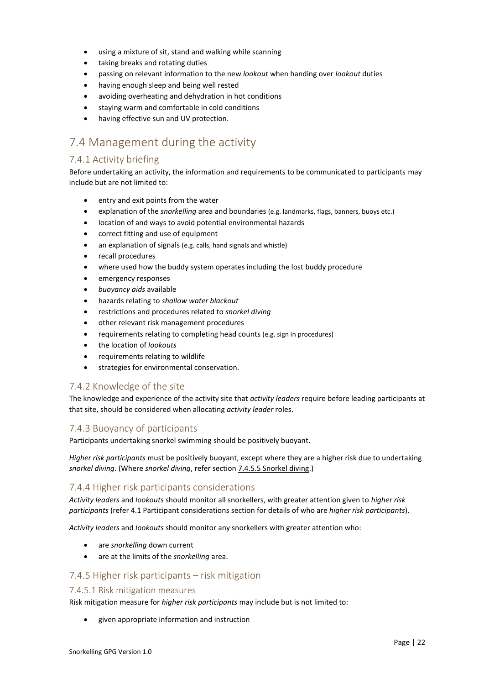- using a mixture of sit, stand and walking while scanning
- taking breaks and rotating duties
- passing on relevant information to the new *lookout* when handing over *lookout* duties
- having enough sleep and being well rested
- avoiding overheating and dehydration in hot conditions
- staying warm and comfortable in cold conditions
- having effective sun and UV protection.

# <span id="page-21-1"></span>7.4 Management during the activity

# <span id="page-21-2"></span>7.4.1 Activity briefing

Before undertaking an activity, the information and requirements to be communicated to participants may include but are not limited to:

- entry and exit points from the water
- explanation of the *snorkelling* area and boundaries (e.g. landmarks, flags, banners, buoys etc.)
- location of and ways to avoid potential environmental hazards
- correct fitting and use of equipment
- an explanation of signals (e.g. calls, hand signals and whistle)
- recall procedures
- where used how the buddy system operates including the lost buddy procedure
- emergency responses
- *buoyancy aids* available
- hazards relating to *shallow water blackout*
- restrictions and procedures related to *snorkel diving*
- other relevant risk management procedures
- requirements relating to completing head counts (e.g. sign in procedures)
- the location of *lookouts*
- requirements relating to wildlife
- strategies for environmental conservation.

# <span id="page-21-3"></span>7.4.2 Knowledge of the site

The knowledge and experience of the activity site that *activity leaders* require before leading participants at that site, should be considered when allocating *activity leader* roles.

#### <span id="page-21-4"></span>7.4.3 Buoyancy of participants

Participants undertaking snorkel swimming should be positively buoyant.

*Higher risk participants* must be positively buoyant, except where they are a higher risk due to undertaking *snorkel diving*. (Where *snorkel diving*, refer section 7.4.5.5 [Snorkel diving.\)](#page-23-0)

# <span id="page-21-5"></span>7.4.4 Higher risk participants considerations

*Activity leaders* and *lookouts* should monitor all snorkellers, with greater attention given to *higher risk participants* (refer [4.1 Participant considerations](#page-8-2) section for details of who are *higher risk participants*).

*Activity leaders* and *lookouts* should monitor any snorkellers with greater attention who:

- are *snorkelling* down current
- are at the limits of the *snorkelling* area.

# <span id="page-21-0"></span>7.4.5 Higher risk participants – risk mitigation

#### <span id="page-21-6"></span>7.4.5.1 Risk mitigation measures

Risk mitigation measure for *higher risk participants* may include but is not limited to:

• given appropriate information and instruction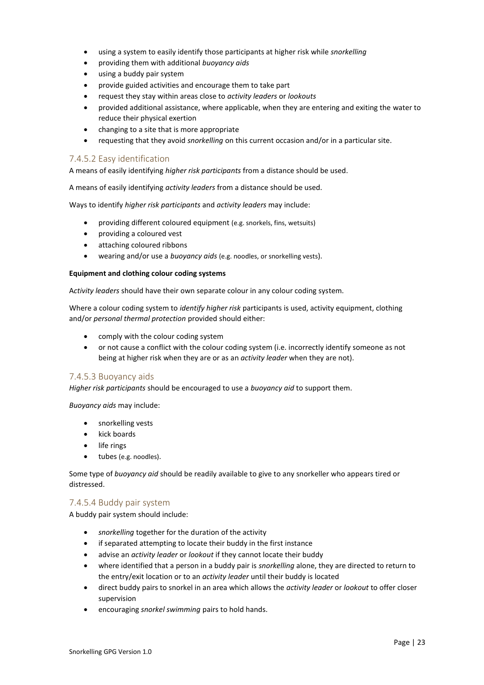- using a system to easily identify those participants at higher risk while *snorkelling*
- providing them with additional *buoyancy aids*
- using a buddy pair system
- provide guided activities and encourage them to take part
- request they stay within areas close to *activity leaders* or *lookouts*
- provided additional assistance, where applicable, when they are entering and exiting the water to reduce their physical exertion
- changing to a site that is more appropriate
- requesting that they avoid *snorkelling* on this current occasion and/or in a particular site.

#### <span id="page-22-0"></span>7.4.5.2 Easy identification

A means of easily identifying *higher risk participants* from a distance should be used.

A means of easily identifying *activity leaders* from a distance should be used.

Ways to identify *higher risk participants* and *activity leaders* may include:

- providing different coloured equipment (e.g. snorkels, fins, wetsuits)
- providing a coloured vest
- attaching coloured ribbons
- wearing and/or use a *buoyancy aids* (e.g. noodles, or snorkelling vests).

#### **Equipment and clothing colour coding systems**

A*ctivity leaders* should have their own separate colour in any colour coding system.

Where a colour coding system to *identify higher risk* participants is used, activity equipment, clothing and/or *personal thermal protection* provided should either:

- comply with the colour coding system
- or not cause a conflict with the colour coding system (i.e. incorrectly identify someone as not being at higher risk when they are or as an *activity leader* when they are not).

#### <span id="page-22-2"></span>7.4.5.3 Buoyancy aids

*Higher risk participants* should be encouraged to use a *buoyancy aid* to support them.

*Buoyancy aids* may include:

- snorkelling vests
- kick boards
- life rings
- tubes (e.g. noodles).

Some type of *buoyancy aid* should be readily available to give to any snorkeller who appears tired or distressed.

#### <span id="page-22-1"></span>7.4.5.4 Buddy pair system

A buddy pair system should include:

- *snorkelling* together for the duration of the activity
- if separated attempting to locate their buddy in the first instance
- advise an *activity leader* or *lookout* if they cannot locate their buddy
- where identified that a person in a buddy pair is *snorkelling* alone, they are directed to return to the entry/exit location or to an *activity leader* until their buddy is located
- direct buddy pairs to snorkel in an area which allows the *activity leader* or *lookout* to offer closer supervision
- encouraging *snorkel swimming* pairs to hold hands.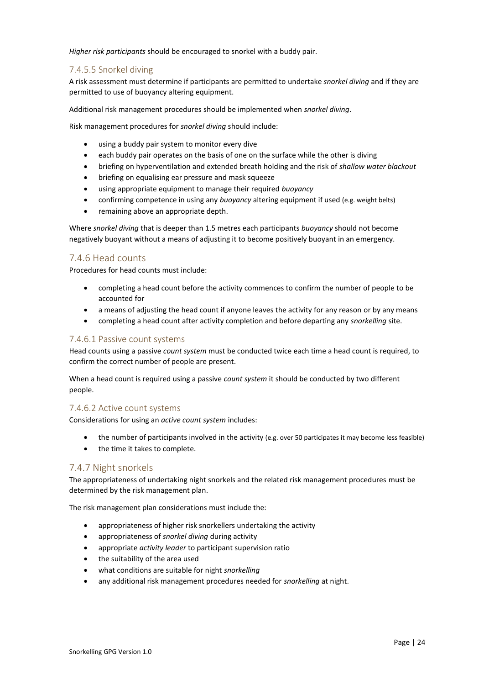*Higher risk participants* should be encouraged to snorkel with a buddy pair.

#### <span id="page-23-0"></span>7.4.5.5 Snorkel diving

A risk assessment must determine if participants are permitted to undertake *snorkel diving* and if they are permitted to use of buoyancy altering equipment.

Additional risk management procedures should be implemented when *snorkel diving*.

Risk management procedures for *snorkel diving* should include:

- using a buddy pair system to monitor every dive
- each buddy pair operates on the basis of one on the surface while the other is diving
- briefing on hyperventilation and extended breath holding and the risk of *shallow water blackout*
- briefing on equalising ear pressure and mask squeeze
- using appropriate equipment to manage their required *buoyancy*
- confirming competence in using any *buoyancy* altering equipment if used (e.g. weight belts)
- remaining above an appropriate depth.

Where *snorkel diving* that is deeper than 1.5 metres each participants *buoyancy* should not become negatively buoyant without a means of adjusting it to become positively buoyant in an emergency.

#### <span id="page-23-1"></span>7.4.6 Head counts

Procedures for head counts must include:

- completing a head count before the activity commences to confirm the number of people to be accounted for
- a means of adjusting the head count if anyone leaves the activity for any reason or by any means
- completing a head count after activity completion and before departing any *snorkelling* site.

#### <span id="page-23-2"></span>7.4.6.1 Passive count systems

Head counts using a passive *count system* must be conducted twice each time a head count is required, to confirm the correct number of people are present.

When a head count is required using a passive *count system* it should be conducted by two different people.

#### <span id="page-23-3"></span>7.4.6.2 Active count systems

Considerations for using an *active count system* includes:

- the number of participants involved in the activity (e.g. over 50 participates it may become less feasible)
- the time it takes to complete.

#### <span id="page-23-4"></span>7.4.7 Night snorkels

The appropriateness of undertaking night snorkels and the related risk management procedures must be determined by the risk management plan.

The risk management plan considerations must include the:

- appropriateness of higher risk snorkellers undertaking the activity
- appropriateness of *snorkel diving* during activity
- appropriate *activity leader* to participant supervision ratio
- the suitability of the area used
- what conditions are suitable for night *snorkelling*
- any additional risk management procedures needed for *snorkelling* at night.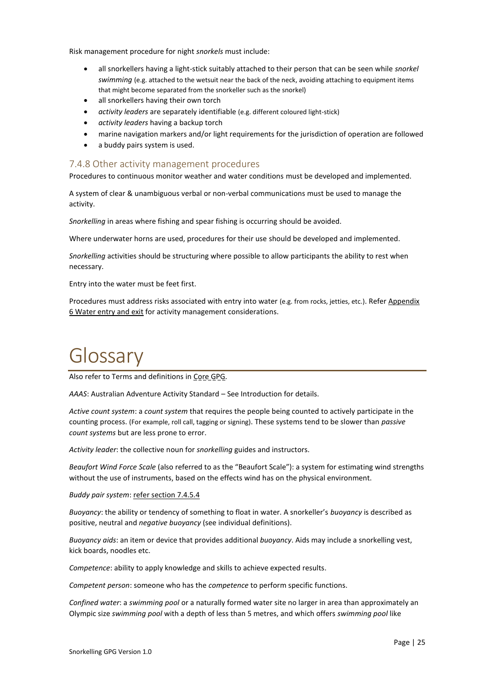Risk management procedure for night *snorkels* must include:

- all snorkellers having a light-stick suitably attached to their person that can be seen while *snorkel swimming* (e.g. attached to the wetsuit near the back of the neck, avoiding attaching to equipment items that might become separated from the snorkeller such as the snorkel)
- all snorkellers having their own torch
- *activity leaders* are separately identifiable (e.g. different coloured light-stick)
- *activity leaders* having a backup torch
- marine navigation markers and/or light requirements for the jurisdiction of operation are followed
- a buddy pairs system is used.

### <span id="page-24-1"></span>7.4.8 Other activity management procedures

Procedures to continuous monitor weather and water conditions must be developed and implemented.

A system of clear & unambiguous verbal or non-verbal communications must be used to manage the activity.

*Snorkelling* in areas where fishing and spear fishing is occurring should be avoided.

Where underwater horns are used, procedures for their use should be developed and implemented.

*Snorkelling* activities should be structuring where possible to allow participants the ability to rest when necessary.

Entry into the water must be feet first.

Procedures must address risks associated with entry into water (e.g. from rocks, jetties, etc.). Refe[r Appendix](#page-33-0)  [6 Water entry](#page-33-0) and exit for activity management considerations.

# <span id="page-24-0"></span>Glossary

Also refer to Terms and definitions in Core GPG.

*AAAS*: Australian Adventure Activity Standard – See Introduction for details.

*Active count system*: a *count system* that requires the people being counted to actively participate in the counting process. (For example, roll call, tagging or signing). These systems tend to be slower than *passive count systems* but are less prone to error.

*Activity leader*: the collective noun for *snorkelling* guides and instructors.

*Beaufort Wind Force Scale* (also referred to as the "Beaufort Scale"): a system for estimating wind strengths without the use of instruments, based on the effects wind has on the physical environment.

*Buddy pair system*: [refer section 7.4.5.4](#page-22-1)

*Buoyancy*: the ability or tendency of something to float in water. A snorkeller's *buoyancy* is described as positive, neutral and *negative buoyancy* (see individual definitions).

*Buoyancy aids*: an item or device that provides additional *buoyancy*. Aids may include a snorkelling vest, kick boards, noodles etc.

*Competence*: ability to apply knowledge and skills to achieve expected results.

*Competent person*: someone who has the *competence* to perform specific functions.

*Confined water*: a *swimming pool* or a naturally formed water site no larger in area than approximately an Olympic size *swimming pool* with a depth of less than 5 metres, and which offers *swimming pool* like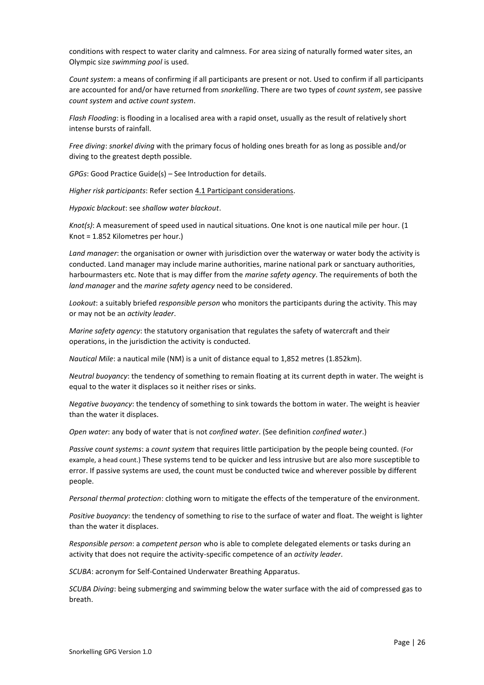conditions with respect to water clarity and calmness. For area sizing of naturally formed water sites, an Olympic size *swimming pool* is used.

*Count system*: a means of confirming if all participants are present or not. Used to confirm if all participants are accounted for and/or have returned from *snorkelling*. There are two types of *count system*, see passive *count system* and *active count system*.

*Flash Flooding*: is flooding in a localised area with a rapid onset, usually as the result of relatively short intense bursts of rainfall.

*Free diving*: *snorkel diving* with the primary focus of holding ones breath for as long as possible and/or diving to the greatest depth possible.

*GPGs*: Good Practice Guide(s) – See Introduction for details.

*Higher risk participants*: Refer section [4.1 Participant considerations.](#page-8-2)

*Hypoxic blackout*: see *shallow water blackout*.

*Knot(s)*: A measurement of speed used in nautical situations. One knot is one nautical mile per hour. (1 Knot = 1.852 Kilometres per hour.)

*Land manager*: the organisation or owner with jurisdiction over the waterway or water body the activity is conducted. Land manager may include marine authorities, marine national park or sanctuary authorities, harbourmasters etc. Note that is may differ from the *marine safety agency*. The requirements of both the *land manager* and the *marine safety agency* need to be considered.

*Lookout*: a suitably briefed *responsible person* who monitors the participants during the activity. This may or may not be an *activity leader*.

*Marine safety agency*: the statutory organisation that regulates the safety of watercraft and their operations, in the jurisdiction the activity is conducted.

*Nautical Mile*: a nautical mile (NM) is a unit of distance equal to 1,852 metres (1.852km).

*Neutral buoyancy*: the tendency of something to remain floating at its current depth in water. The weight is equal to the water it displaces so it neither rises or sinks.

*Negative buoyancy*: the tendency of something to sink towards the bottom in water. The weight is heavier than the water it displaces.

*Open water*: any body of water that is not *confined water*. (See definition *confined water*.)

*Passive count systems*: a *count system* that requires little participation by the people being counted. (For example, a head count.) These systems tend to be quicker and less intrusive but are also more susceptible to error. If passive systems are used, the count must be conducted twice and wherever possible by different people.

*Personal thermal protection*: clothing worn to mitigate the effects of the temperature of the environment.

*Positive buoyancy*: the tendency of something to rise to the surface of water and float. The weight is lighter than the water it displaces.

*Responsible person*: a *competent person* who is able to complete delegated elements or tasks during an activity that does not require the activity-specific competence of an *activity leader*.

*SCUBA*: acronym for Self-Contained Underwater Breathing Apparatus.

*SCUBA Diving*: being submerging and swimming below the water surface with the aid of compressed gas to breath.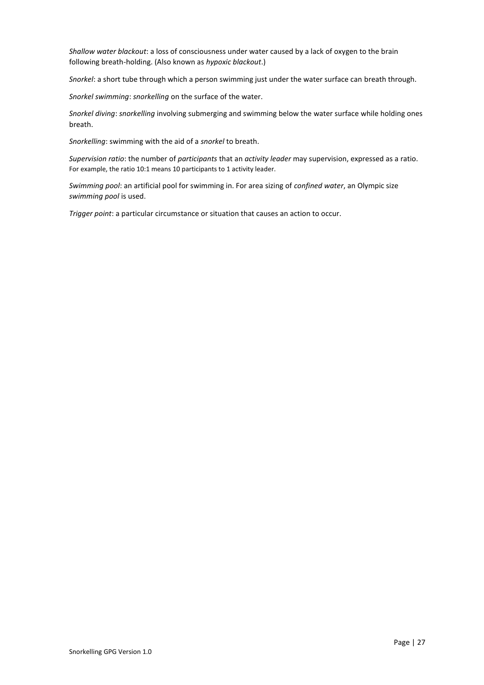*Shallow water blackout*: a loss of consciousness under water caused by a lack of oxygen to the brain following breath-holding. (Also known as *hypoxic blackout*.)

*Snorkel*: a short tube through which a person swimming just under the water surface can breath through.

*Snorkel swimming*: *snorkelling* on the surface of the water.

*Snorkel diving*: *snorkelling* involving submerging and swimming below the water surface while holding ones breath.

*Snorkelling*: swimming with the aid of a *snorkel* to breath.

*Supervision ratio*: the number of *participants* that an *activity leader* may supervision, expressed as a ratio. For example, the ratio 10:1 means 10 participants to 1 activity leader.

*Swimming pool*: an artificial pool for swimming in. For area sizing of *confined water*, an Olympic size *swimming pool* is used.

*Trigger point*: a particular circumstance or situation that causes an action to occur.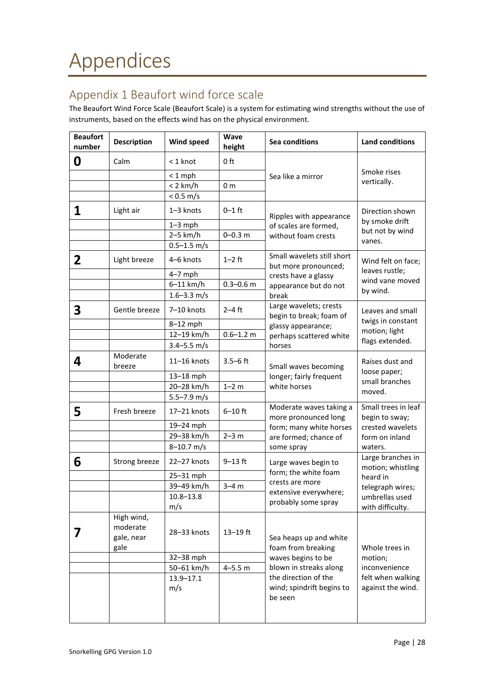# <span id="page-27-1"></span><span id="page-27-0"></span>Appendix 1 Beaufort wind force scale

The Beaufort Wind Force Scale (Beaufort Scale) is a system for estimating wind strengths without the use of instruments, based on the effects wind has on the physical environment.

| <b>Beaufort</b><br>number | <b>Description</b>                           | Wind speed           | <b>Wave</b><br>height | Sea conditions                                               | <b>Land conditions</b>                                             |  |
|---------------------------|----------------------------------------------|----------------------|-----------------------|--------------------------------------------------------------|--------------------------------------------------------------------|--|
| 0                         | Calm                                         | $<$ 1 knot           | 0 ft                  | Sea like a mirror                                            |                                                                    |  |
|                           |                                              | $< 1$ mph            |                       |                                                              | Smoke rises                                                        |  |
|                           |                                              | $< 2$ km/h           | 0 <sub>m</sub>        |                                                              | vertically.                                                        |  |
|                           |                                              | < 0.5 m/s            |                       |                                                              |                                                                    |  |
| 1                         | Light air                                    | 1-3 knots            | $0 - 1$ ft            | Ripples with appearance                                      | Direction shown                                                    |  |
|                           |                                              | $1 - 3$ mph          |                       | of scales are formed,                                        | by smoke drift                                                     |  |
|                           |                                              | $2-5$ km/h           | $0 - 0.3$ m           | without foam crests                                          | but not by wind                                                    |  |
|                           |                                              | $0.5 - 1.5$ m/s      |                       |                                                              | vanes.                                                             |  |
| $\overline{2}$            | Light breeze                                 | 4-6 knots            | $1-2$ ft              | Small wavelets still short<br>but more pronounced;           | Wind felt on face;                                                 |  |
|                           |                                              | $4-7$ mph            |                       | crests have a glassy                                         | leaves rustle;                                                     |  |
|                           |                                              | $6-11$ km/h          | $0.3 - 0.6$ m         | appearance but do not                                        | wind vane moved                                                    |  |
|                           |                                              | $1.6 - 3.3$ m/s      |                       | break                                                        | by wind.                                                           |  |
| 3                         | Gentle breeze                                | 7-10 knots           | $2-4$ ft              | Large wavelets; crests<br>begin to break; foam of            | Leaves and small                                                   |  |
|                           |                                              | 8-12 mph             |                       | glassy appearance;                                           | twigs in constant                                                  |  |
|                           |                                              | 12-19 km/h           | $0.6 - 1.2$ m         | perhaps scattered white                                      | motion; light                                                      |  |
|                           |                                              | $3.4 - 5.5$ m/s      |                       | horses                                                       | flags extended.                                                    |  |
| 4                         | Moderate<br>breeze                           | 11-16 knots          | $3.5 - 6$ ft          | Small waves becoming                                         | Raises dust and                                                    |  |
|                           |                                              | $13-18$ mph          |                       | longer; fairly frequent                                      | loose paper;<br>small branches<br>moved.                           |  |
|                           |                                              | 20-28 km/h           | $1 - 2 m$             | white horses                                                 |                                                                    |  |
|                           |                                              | $5.5 - 7.9$ m/s      |                       |                                                              |                                                                    |  |
| 5                         | Fresh breeze                                 | 17-21 knots          | $6-10$ ft             | Moderate waves taking a<br>more pronounced long              | Small trees in leaf<br>begin to sway;                              |  |
|                           |                                              | 19-24 mph            |                       | form; many white horses                                      | crested wavelets<br>form on inland                                 |  |
|                           |                                              | 29-38 km/h           | $2 - 3 m$             | are formed; chance of                                        |                                                                    |  |
|                           |                                              | $8 - 10.7$ m/s       |                       | some spray                                                   | waters.                                                            |  |
| 6                         | Strong breeze                                | 22-27 knots          | $9 - 13$ ft           | Large waves begin to                                         | Large branches in<br>motion; whistling                             |  |
|                           |                                              | 25-31 mph            |                       | form; the white foam<br>crests are more                      | heard in                                                           |  |
|                           |                                              | 39-49 km/h           | $3-4m$                | extensive everywhere;                                        | telegraph wires;                                                   |  |
|                           |                                              | 10.8–13.8            |                       | probably some spray                                          | umbrellas used                                                     |  |
|                           |                                              | m/s                  |                       |                                                              | with difficulty.                                                   |  |
| 7                         | High wind,<br>moderate<br>gale, near<br>gale | 28-33 knots          | $13 - 19$ ft          | Sea heaps up and white<br>foam from breaking                 | Whole trees in                                                     |  |
|                           |                                              | 32-38 mph            |                       | waves begins to be                                           | motion;<br>inconvenience<br>felt when walking<br>against the wind. |  |
|                           |                                              | 50-61 km/h           | $4 - 5.5 m$           | blown in streaks along                                       |                                                                    |  |
|                           |                                              | $13.9 - 17.1$<br>m/s |                       | the direction of the<br>wind; spindrift begins to<br>be seen |                                                                    |  |
|                           |                                              |                      |                       |                                                              |                                                                    |  |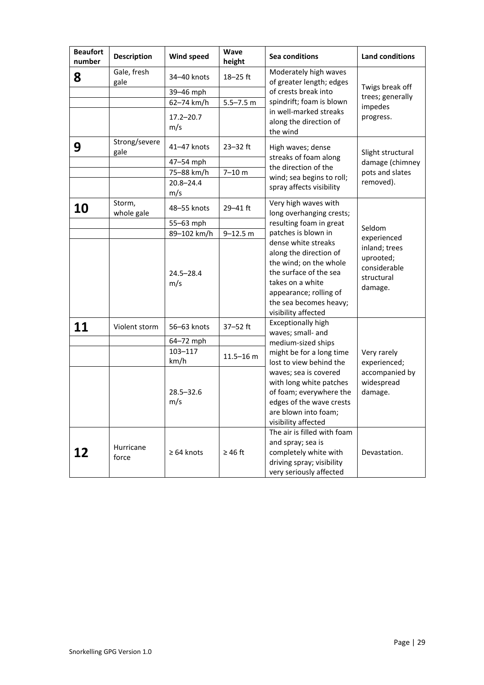| <b>Beaufort</b><br>number | <b>Description</b>    | Wind speed           | Wave<br>height | <b>Sea conditions</b>                                                                                                                                                                                         | <b>Land conditions</b>                                              |
|---------------------------|-----------------------|----------------------|----------------|---------------------------------------------------------------------------------------------------------------------------------------------------------------------------------------------------------------|---------------------------------------------------------------------|
| 8                         | Gale, fresh<br>gale   | 34-40 knots          | $18 - 25$ ft   | Moderately high waves<br>of greater length; edges<br>of crests break into                                                                                                                                     | Twigs break off                                                     |
|                           |                       | 39-46 mph            |                |                                                                                                                                                                                                               | trees; generally                                                    |
|                           |                       | 62-74 km/h           | $5.5 - 7.5$ m  | spindrift; foam is blown                                                                                                                                                                                      | impedes                                                             |
|                           |                       | $17.2 - 20.7$<br>m/s |                | in well-marked streaks<br>along the direction of<br>the wind                                                                                                                                                  | progress.                                                           |
| 9                         | Strong/severe<br>gale | 41-47 knots          | $23 - 32$ ft   | High waves; dense                                                                                                                                                                                             | Slight structural                                                   |
|                           |                       | 47-54 mph            |                | streaks of foam along<br>the direction of the                                                                                                                                                                 | damage (chimney                                                     |
|                           |                       | 75-88 km/h           | $7 - 10 m$     | wind; sea begins to roll;                                                                                                                                                                                     | pots and slates                                                     |
|                           |                       | $20.8 - 24.4$<br>m/s |                | spray affects visibility                                                                                                                                                                                      | removed).                                                           |
| 10                        | Storm,<br>whole gale  | 48-55 knots          | $29 - 41$ ft   | Very high waves with<br>long overhanging crests;                                                                                                                                                              |                                                                     |
|                           |                       | 55-63 mph            |                | resulting foam in great                                                                                                                                                                                       | Seldom                                                              |
|                           |                       | 89-102 km/h          | $9 - 12.5$ m   | patches is blown in                                                                                                                                                                                           | experienced                                                         |
|                           |                       | $24.5 - 28.4$<br>m/s |                | dense white streaks<br>along the direction of<br>the wind; on the whole<br>the surface of the sea<br>takes on a white<br>appearance; rolling of<br>the sea becomes heavy;<br>visibility affected              | inland; trees<br>uprooted;<br>considerable<br>structural<br>damage. |
| 11                        | Violent storm         | 56-63 knots          | 37-52 ft       | <b>Exceptionally high</b><br>waves; small- and                                                                                                                                                                |                                                                     |
|                           |                       | 64-72 mph            |                | medium-sized ships                                                                                                                                                                                            |                                                                     |
|                           |                       | 103-117<br>km/h      | $11.5 - 16$ m  | might be for a long time<br>lost to view behind the<br>waves; sea is covered<br>with long white patches<br>of foam; everywhere the<br>edges of the wave crests<br>are blown into foam;<br>visibility affected | Very rarely<br>experienced;                                         |
|                           |                       | $28.5 - 32.6$<br>m/s |                |                                                                                                                                                                                                               | accompanied by<br>widespread<br>damage.                             |
| 12                        | Hurricane<br>force    | $\geq 64$ knots      | $\geq 46$ ft   | The air is filled with foam<br>and spray; sea is<br>completely white with<br>driving spray; visibility<br>very seriously affected                                                                             | Devastation.                                                        |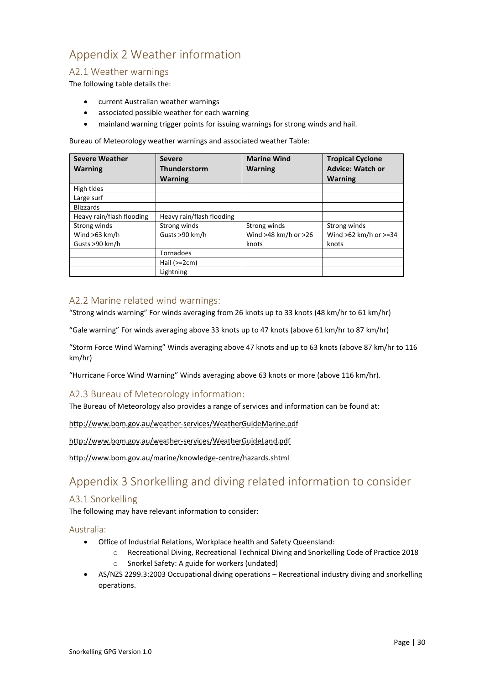# <span id="page-29-0"></span>Appendix 2 Weather information

### <span id="page-29-1"></span>A2.1 Weather warnings

The following table details the:

- current Australian weather warnings
- associated possible weather for each warning
- mainland warning trigger points for issuing warnings for strong winds and hail.

Bureau of Meteorology weather warnings and associated weather Table:

| <b>Severe Weather</b><br><b>Warning</b> | <b>Severe</b><br><b>Thunderstorm</b> | <b>Marine Wind</b><br><b>Warning</b> | <b>Tropical Cyclone</b><br><b>Advice: Watch or</b> |
|-----------------------------------------|--------------------------------------|--------------------------------------|----------------------------------------------------|
|                                         | <b>Warning</b>                       |                                      | <b>Warning</b>                                     |
| High tides                              |                                      |                                      |                                                    |
| Large surf                              |                                      |                                      |                                                    |
| <b>Blizzards</b>                        |                                      |                                      |                                                    |
| Heavy rain/flash flooding               | Heavy rain/flash flooding            |                                      |                                                    |
| Strong winds                            | Strong winds                         | Strong winds                         | Strong winds                                       |
| Wind $>63$ km/h                         | Gusts >90 km/h                       | Wind >48 km/h or >26                 | Wind $>62$ km/h or $>=34$                          |
| Gusts >90 km/h                          |                                      | knots                                | knots                                              |
|                                         | <b>Tornadoes</b>                     |                                      |                                                    |
|                                         | Hail $(>=2cm)$                       |                                      |                                                    |
|                                         | Lightning                            |                                      |                                                    |

# <span id="page-29-2"></span>A2.2 Marine related wind warnings:

"Strong winds warning" For winds averaging from 26 knots up to 33 knots (48 km/hr to 61 km/hr)

"Gale warning" For winds averaging above 33 knots up to 47 knots (above 61 km/hr to 87 km/hr)

"Storm Force Wind Warning" Winds averaging above 47 knots and up to 63 knots (above 87 km/hr to 116 km/hr)

"Hurricane Force Wind Warning" Winds averaging above 63 knots or more (above 116 km/hr).

# <span id="page-29-3"></span>A2.3 Bureau of Meteorology information:

The Bureau of Meteorology also provides a range of services and information can be found at:

<http://www.bom.gov.au/weather-services/WeatherGuideMarine.pdf>

<http://www.bom.gov.au/weather-services/WeatherGuideLand.pdf>

<http://www.bom.gov.au/marine/knowledge-centre/hazards.shtml>

# <span id="page-29-4"></span>Appendix 3 Snorkelling and diving related information to consider

#### <span id="page-29-5"></span>A3.1 Snorkelling

The following may have relevant information to consider:

<span id="page-29-6"></span>Australia:

- Office of Industrial Relations, Workplace health and Safety Queensland:
	- o Recreational Diving, Recreational Technical Diving and Snorkelling Code of Practice 2018
		- o Snorkel Safety: A guide for workers (undated)
- AS/NZS 2299.3:2003 Occupational diving operations Recreational industry diving and snorkelling operations.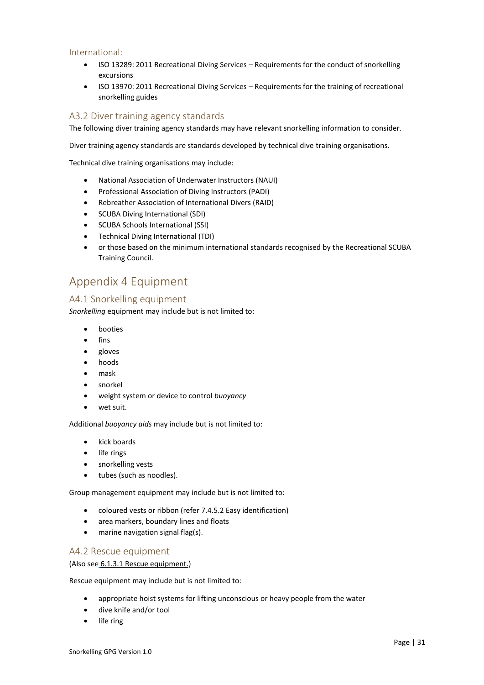#### <span id="page-30-4"></span>International:

- ISO 13289: 2011 Recreational Diving Services Requirements for the conduct of snorkelling excursions
- ISO 13970: 2011 Recreational Diving Services Requirements for the training of recreational snorkelling guides

### <span id="page-30-3"></span>A3.2 Diver training agency standards

The following diver training agency standards may have relevant snorkelling information to consider.

Diver training agency standards are standards developed by technical dive training organisations.

Technical dive training organisations may include:

- National Association of Underwater Instructors (NAUI)
- Professional Association of Diving Instructors (PADI)
- Rebreather Association of International Divers (RAID)
- SCUBA Diving International (SDI)
- SCUBA Schools International (SSI)
- Technical Diving International (TDI)
- or those based on the minimum international standards recognised by the Recreational SCUBA Training Council.

# <span id="page-30-0"></span>Appendix 4 Equipment

#### <span id="page-30-1"></span>A4.1 Snorkelling equipment

*Snorkelling* equipment may include but is not limited to:

- booties
- fins
- gloves
- hoods
- mask
- snorkel
- weight system or device to control *buoyancy*
- wet suit.

Additional *buoyancy aids* may include but is not limited to:

- kick boards
- life rings
- snorkelling vests
- tubes (such as noodles).

Group management equipment may include but is not limited to:

- coloured vests or ribbon (refe[r 7.4.5.2 Easy identification\)](#page-22-0)
- area markers, boundary lines and floats
- marine navigation signal flag(s).

#### <span id="page-30-2"></span>A4.2 Rescue equipment

(Also see [6.1.3.1 Rescue equipment.](#page-16-0))

Rescue equipment may include but is not limited to:

- appropriate hoist systems for lifting unconscious or heavy people from the water
- dive knife and/or tool
- life ring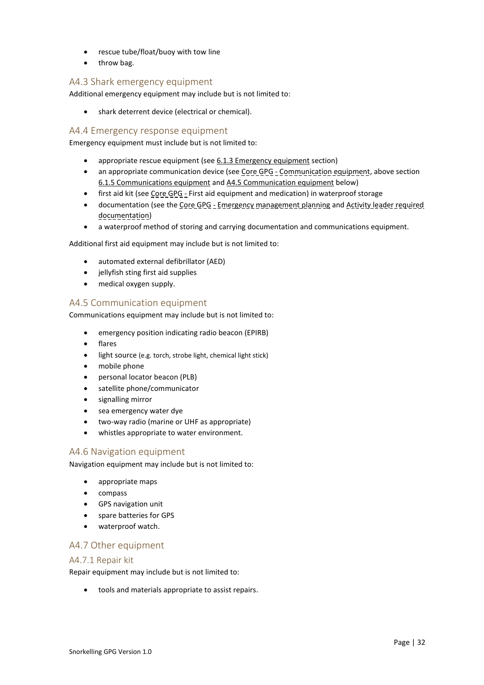- rescue tube/float/buoy with tow line
- throw bag.

# <span id="page-31-1"></span>A4.3 Shark emergency equipment

Additional emergency equipment may include but is not limited to:

• shark deterrent device (electrical or chemical).

#### <span id="page-31-0"></span>A4.4 Emergency response equipment

Emergency equipment must include but is not limited to:

- appropriate rescue equipment (se[e 6.1.3 Emergency equipment](#page-16-1) section)
- an appropriate communication device (see Core GPG Communication equipment, above section 6.1.5 [Communications equipment](#page-17-0) and A4.5 [Communication equipment](#page-31-2) below)
- first aid kit (see Core GPG First aid equipment and medication) in waterproof storage
- documentation (see the Core GPG Emergency management planning and Activity leader required documentation)
- a waterproof method of storing and carrying documentation and communications equipment.

Additional first aid equipment may include but is not limited to:

- automated external defibrillator (AED)
- jellyfish sting first aid supplies
- medical oxygen supply.

#### <span id="page-31-2"></span>A4.5 Communication equipment

Communications equipment may include but is not limited to:

- emergency position indicating radio beacon (EPIRB)
- flares
- light source (e.g. torch, strobe light, chemical light stick)
- mobile phone
- personal locator beacon (PLB)
- satellite phone/communicator
- signalling mirror
- sea emergency water dye
- two-way radio (marine or UHF as appropriate)
- whistles appropriate to water environment.

#### <span id="page-31-3"></span>A4.6 Navigation equipment

Navigation equipment may include but is not limited to:

- appropriate maps
- compass
- GPS navigation unit
- spare batteries for GPS
- waterproof watch.

#### <span id="page-31-4"></span>A4.7 Other equipment

#### <span id="page-31-5"></span>A4.7.1 Repair kit

Repair equipment may include but is not limited to:

• tools and materials appropriate to assist repairs.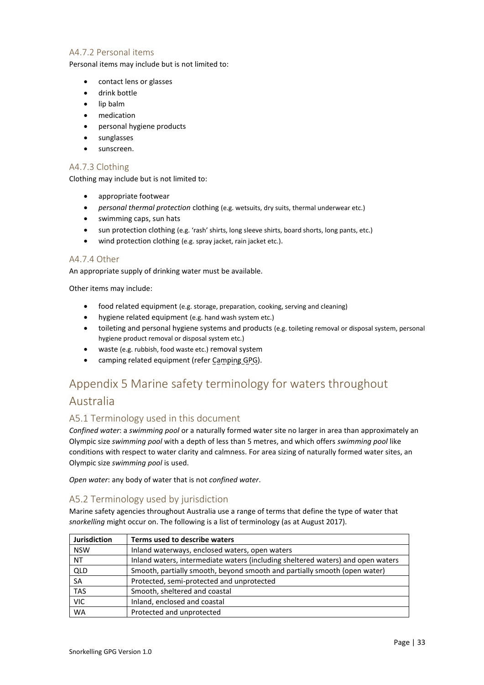### <span id="page-32-1"></span>A4.7.2 Personal items

Personal items may include but is not limited to:

- contact lens or glasses
- drink bottle
- lip balm
- medication
- personal hygiene products
- sunglasses
- sunscreen.

### <span id="page-32-2"></span>A4.7.3 Clothing

Clothing may include but is not limited to:

- appropriate footwear
- *personal thermal protection* clothing (e.g. wetsuits, dry suits, thermal underwear etc.)
- swimming caps, sun hats
- sun protection clothing (e.g. 'rash' shirts, long sleeve shirts, board shorts, long pants, etc.)
- wind protection clothing (e.g. spray jacket, rain jacket etc.).

#### <span id="page-32-3"></span>A4.7.4 Other

An appropriate supply of drinking water must be available.

Other items may include:

- food related equipment (e.g. storage, preparation, cooking, serving and cleaning)
- hygiene related equipment (e.g. hand wash system etc.)
- toileting and personal hygiene systems and products (e.g. toileting removal or disposal system, personal hygiene product removal or disposal system etc.)
- waste (e.g. rubbish, food waste etc.) removal system
- camping related equipment (refer Camping GPG).

# <span id="page-32-4"></span>Appendix 5 Marine safety terminology for waters throughout Australia

# <span id="page-32-0"></span>A5.1 Terminology used in this document

*Confined water*: a *swimming pool* or a naturally formed water site no larger in area than approximately an Olympic size *swimming pool* with a depth of less than 5 metres, and which offers *swimming pool* like conditions with respect to water clarity and calmness. For area sizing of naturally formed water sites, an Olympic size *swimming pool* is used.

*Open water*: any body of water that is not *confined water*.

# <span id="page-32-5"></span>A5.2 Terminology used by jurisdiction

Marine safety agencies throughout Australia use a range of terms that define the type of water that *snorkelling* might occur on. The following is a list of terminology (as at August 2017).

| <b>Jurisdiction</b> | Terms used to describe waters                                                   |
|---------------------|---------------------------------------------------------------------------------|
| <b>NSW</b>          | Inland waterways, enclosed waters, open waters                                  |
| <b>NT</b>           | Inland waters, intermediate waters (including sheltered waters) and open waters |
| QLD                 | Smooth, partially smooth, beyond smooth and partially smooth (open water)       |
| <b>SA</b>           | Protected, semi-protected and unprotected                                       |
| <b>TAS</b>          | Smooth, sheltered and coastal                                                   |
| <b>VIC</b>          | Inland, enclosed and coastal                                                    |
| <b>WA</b>           | Protected and unprotected                                                       |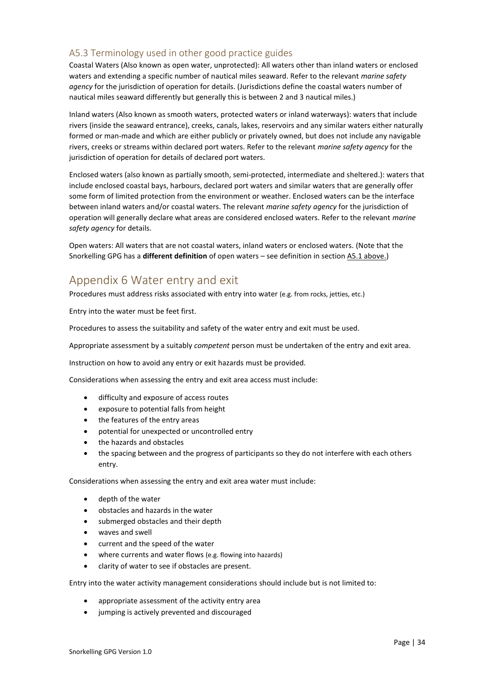# <span id="page-33-1"></span>A5.3 Terminology used in other good practice guides

Coastal Waters (Also known as open water, unprotected): All waters other than inland waters or enclosed waters and extending a specific number of nautical miles seaward. Refer to the relevant *marine safety agency* for the jurisdiction of operation for details. (Jurisdictions define the coastal waters number of nautical miles seaward differently but generally this is between 2 and 3 nautical miles.)

Inland waters (Also known as smooth waters, protected waters or inland waterways): waters that include rivers (inside the seaward entrance), creeks, canals, lakes, reservoirs and any similar waters either naturally formed or man-made and which are either publicly or privately owned, but does not include any navigable rivers, creeks or streams within declared port waters. Refer to the relevant *marine safety agency* for the jurisdiction of operation for details of declared port waters.

Enclosed waters (also known as partially smooth, semi-protected, intermediate and sheltered.): waters that include enclosed coastal bays, harbours, declared port waters and similar waters that are generally offer some form of limited protection from the environment or weather. Enclosed waters can be the interface between inland waters and/or coastal waters. The relevant *marine safety agency* for the jurisdiction of operation will generally declare what areas are considered enclosed waters. Refer to the relevant *marine safety agency* for details.

Open waters: All waters that are not coastal waters, inland waters or enclosed waters. (Note that the Snorkelling GPG has a **different definition** of open waters – see definition in section [A5.1 above.](#page-32-0))

# <span id="page-33-0"></span>Appendix 6 Water entry and exit

Procedures must address risks associated with entry into water (e.g. from rocks, jetties, etc.)

Entry into the water must be feet first.

Procedures to assess the suitability and safety of the water entry and exit must be used.

Appropriate assessment by a suitably *competent* person must be undertaken of the entry and exit area.

Instruction on how to avoid any entry or exit hazards must be provided.

Considerations when assessing the entry and exit area access must include:

- difficulty and exposure of access routes
- exposure to potential falls from height
- the features of the entry areas
- potential for unexpected or uncontrolled entry
- the hazards and obstacles
- the spacing between and the progress of participants so they do not interfere with each others entry.

Considerations when assessing the entry and exit area water must include:

- depth of the water
- obstacles and hazards in the water
- submerged obstacles and their depth
- waves and swell
- current and the speed of the water
- where currents and water flows (e.g. flowing into hazards)
- clarity of water to see if obstacles are present.

Entry into the water activity management considerations should include but is not limited to:

- appropriate assessment of the activity entry area
- jumping is actively prevented and discouraged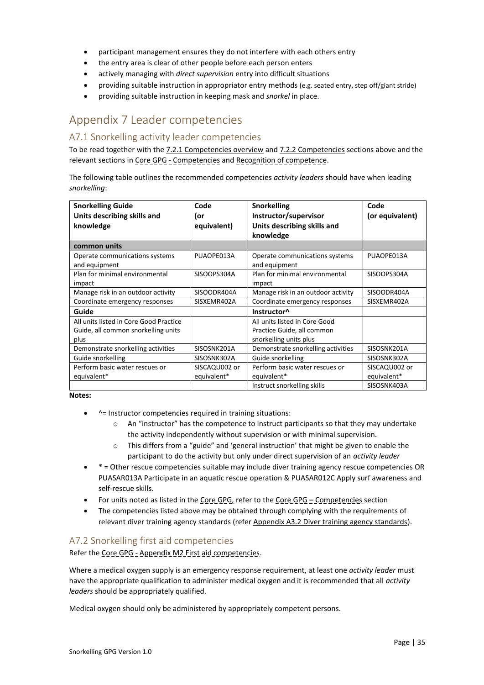- participant management ensures they do not interfere with each others entry
- the entry area is clear of other people before each person enters
- actively managing with *direct supervision* entry into difficult situations
- providing suitable instruction in appropriator entry methods (e.g. seated entry, step off/giant stride)
- providing suitable instruction in keeping mask and *snorkel* in place.

# <span id="page-34-0"></span>Appendix 7 Leader competencies

# <span id="page-34-1"></span>A7.1 Snorkelling activity leader competencies

To be read together with th[e 7.2.1 Competencies overview](#page-18-1) and [7.2.2 Competencies](#page-19-1) sections above and the relevant sections in Core GPG - Competencies and Recognition of competence.

The following table outlines the recommended competencies *activity leaders* should have when leading *snorkelling*:

| <b>Snorkelling Guide</b><br>Units describing skills and | Code<br>or    | <b>Snorkelling</b><br>Instructor/supervisor     | Code<br>(or equivalent) |
|---------------------------------------------------------|---------------|-------------------------------------------------|-------------------------|
| knowledge                                               | equivalent)   | Units describing skills and                     |                         |
|                                                         |               | knowledge                                       |                         |
| common units                                            |               |                                                 |                         |
| Operate communications systems<br>and equipment         | PUAOPE013A    | Operate communications systems<br>and equipment | PUAOPE013A              |
| Plan for minimal environmental                          | SISOOPS304A   | Plan for minimal environmental                  | SISOOPS304A             |
| impact                                                  |               | impact                                          |                         |
| Manage risk in an outdoor activity                      | SISOODR404A   | Manage risk in an outdoor activity              | SISOODR404A             |
| Coordinate emergency responses                          | SISXEMR402A   | Coordinate emergency responses                  | SISXEMR402A             |
| Guide                                                   |               | Instructor <sup>^</sup>                         |                         |
| All units listed in Core Good Practice                  |               | All units listed in Core Good                   |                         |
| Guide, all common snorkelling units                     |               | Practice Guide, all common                      |                         |
| plus                                                    |               | snorkelling units plus                          |                         |
| Demonstrate snorkelling activities                      | SISOSNK201A   | Demonstrate snorkelling activities              | SISOSNK201A             |
| Guide snorkelling                                       | SISOSNK302A   | Guide snorkelling                               | SISOSNK302A             |
| Perform basic water rescues or                          | SISCAQU002 or | Perform basic water rescues or                  | SISCAQU002 or           |
| equivalent*                                             | equivalent*   | equivalent*                                     | equivalent*             |
|                                                         |               | Instruct snorkelling skills                     | SISOSNK403A             |

#### **Notes:**

- $^{\prime}$  = Instructor competencies required in training situations:
	- $\circ$  An "instructor" has the competence to instruct participants so that they may undertake the activity independently without supervision or with minimal supervision.
	- $\circ$  This differs from a "guide" and 'general instruction' that might be given to enable the participant to do the activity but only under direct supervision of an *activity leader*
- \* = Other rescue competencies suitable may include diver training agency rescue competencies OR PUASAR013A Participate in an aquatic rescue operation & PUASAR012C Apply surf awareness and self-rescue skills.
- For units noted as listed in the Core GPG, refer to the Core GPG Competencies section
- The competencies listed above may be obtained through complying with the requirements of relevant diver training agency standards (refe[r Appendix A3.2 Diver training agency standards\)](#page-30-3).

# <span id="page-34-2"></span>A7.2 Snorkelling first aid competencies

Refer the Core GPG - Appendix M2 First aid competencies.

Where a medical oxygen supply is an emergency response requirement, at least one *activity leader* must have the appropriate qualification to administer medical oxygen and it is recommended that all *activity leaders* should be appropriately qualified.

Medical oxygen should only be administered by appropriately competent persons.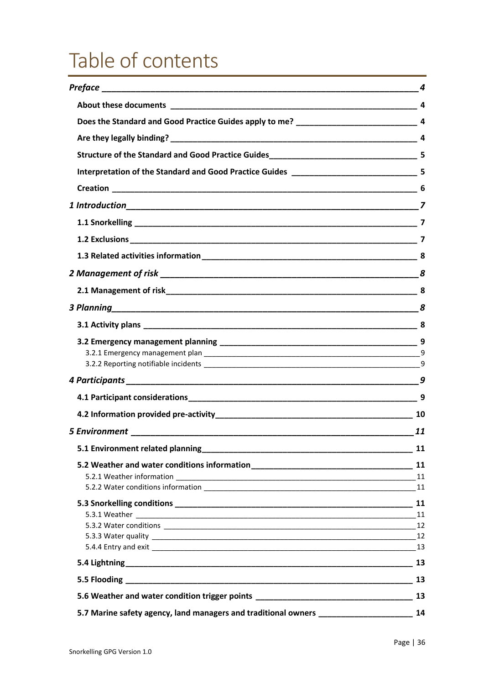# <span id="page-35-0"></span>Table of contents

|                                                                                  | 4                     |
|----------------------------------------------------------------------------------|-----------------------|
|                                                                                  |                       |
|                                                                                  |                       |
|                                                                                  |                       |
|                                                                                  |                       |
|                                                                                  |                       |
|                                                                                  |                       |
|                                                                                  |                       |
|                                                                                  |                       |
|                                                                                  |                       |
|                                                                                  |                       |
|                                                                                  |                       |
|                                                                                  |                       |
|                                                                                  | $\frac{8}{\sqrt{25}}$ |
|                                                                                  |                       |
|                                                                                  |                       |
|                                                                                  |                       |
|                                                                                  |                       |
|                                                                                  |                       |
|                                                                                  |                       |
|                                                                                  |                       |
|                                                                                  | 11                    |
| 5.1 Environment related planning                                                 | 11                    |
|                                                                                  |                       |
|                                                                                  |                       |
|                                                                                  |                       |
|                                                                                  |                       |
|                                                                                  |                       |
|                                                                                  |                       |
|                                                                                  |                       |
|                                                                                  | 13                    |
|                                                                                  |                       |
| 5.6 Weather and water condition trigger points _________________________________ | 13                    |
| 5.7 Marine safety agency, land managers and traditional owners _________________ | 14                    |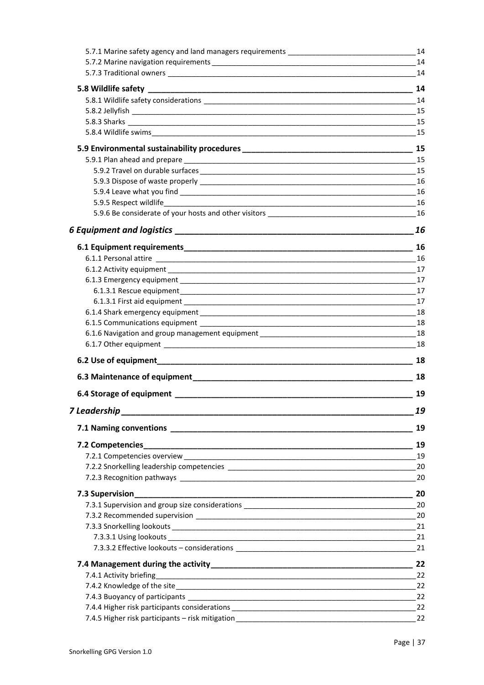| 5.7.1 Marine safety agency and land managers requirements _______________________                                                                                                                                              | 14   |
|--------------------------------------------------------------------------------------------------------------------------------------------------------------------------------------------------------------------------------|------|
|                                                                                                                                                                                                                                | 14   |
|                                                                                                                                                                                                                                | 14   |
|                                                                                                                                                                                                                                |      |
|                                                                                                                                                                                                                                |      |
| 5.8.2 Jellyfish                                                                                                                                                                                                                | 15   |
|                                                                                                                                                                                                                                |      |
|                                                                                                                                                                                                                                | 15   |
|                                                                                                                                                                                                                                | 15   |
| 5.9.1 Plan ahead and prepare entrance and the state of the state of the state of the state of the state of the                                                                                                                 | 15   |
|                                                                                                                                                                                                                                | 15   |
|                                                                                                                                                                                                                                | 16   |
|                                                                                                                                                                                                                                |      |
|                                                                                                                                                                                                                                | 16   |
|                                                                                                                                                                                                                                | 16   |
|                                                                                                                                                                                                                                | 16   |
|                                                                                                                                                                                                                                | 16   |
|                                                                                                                                                                                                                                |      |
|                                                                                                                                                                                                                                | 17   |
|                                                                                                                                                                                                                                | 17   |
|                                                                                                                                                                                                                                | 17   |
|                                                                                                                                                                                                                                | 17   |
|                                                                                                                                                                                                                                | 18   |
|                                                                                                                                                                                                                                | - 18 |
|                                                                                                                                                                                                                                |      |
|                                                                                                                                                                                                                                |      |
|                                                                                                                                                                                                                                | 18   |
|                                                                                                                                                                                                                                |      |
| 6.4 Storage of equipment contract to the state of the state of the state of the state of the state of the state of the state of the state of the state of the state of the state of the state of the state of the state of the | 19   |
| 7 Leadership                                                                                                                                                                                                                   | 19   |
|                                                                                                                                                                                                                                | 19   |
|                                                                                                                                                                                                                                | 19   |
|                                                                                                                                                                                                                                | 19   |
|                                                                                                                                                                                                                                | 20   |
|                                                                                                                                                                                                                                | 20   |
| 7.3 Supervision                                                                                                                                                                                                                | 20   |
|                                                                                                                                                                                                                                | 20   |
|                                                                                                                                                                                                                                | 20   |
|                                                                                                                                                                                                                                | 21   |
|                                                                                                                                                                                                                                | 21   |
|                                                                                                                                                                                                                                | 21   |
|                                                                                                                                                                                                                                | 22   |
| 7.4.1 Activity briefing                                                                                                                                                                                                        | 22   |
|                                                                                                                                                                                                                                | 22   |
|                                                                                                                                                                                                                                | 22   |
| 7.4.4 Higher risk participants considerations ___________________________________                                                                                                                                              | 22   |
|                                                                                                                                                                                                                                | 22   |